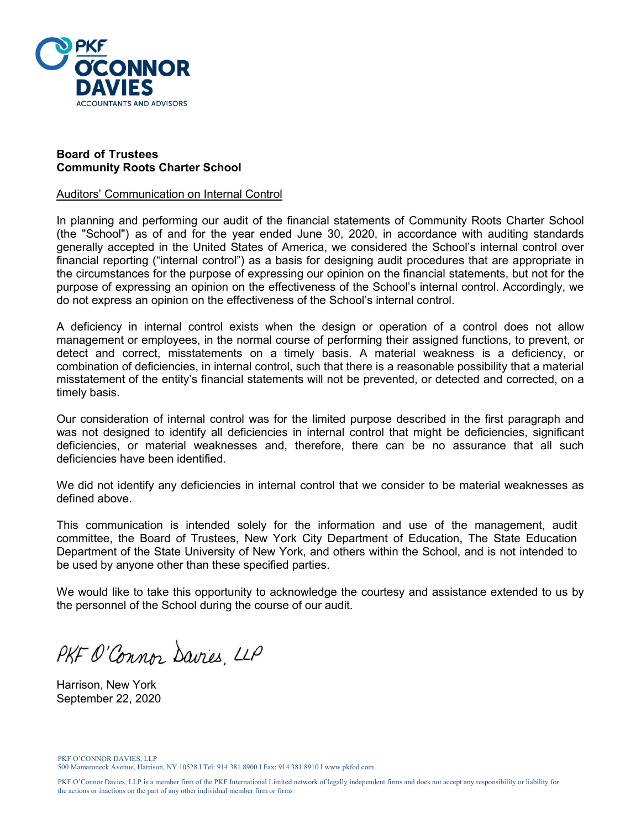

#### **Board of Trustees Community Roots Charter School**

#### Auditors' Communication on Internal Control

In planning and performing our audit of the financial statements of Community Roots Charter School (the "School") as of and for the year ended June 30, 2020, in accordance with auditing standards generally accepted in the United States of America, we considered the School's internal control over financial reporting ("internal control") as a basis for designing audit procedures that are appropriate in the circumstances for the purpose of expressing our opinion on the financial statements, but not for the purpose of expressing an opinion on the effectiveness of the School's internal control. Accordingly, we do not express an opinion on the effectiveness of the School's internal control.

A deficiency in internal control exists when the design or operation of a control does not allow management or employees, in the normal course of performing their assigned functions, to prevent, or detect and correct, misstatements on a timely basis. A material weakness is a deficiency, or combination of deficiencies, in internal control, such that there is a reasonable possibility that a material misstatement of the entity's financial statements will not be prevented, or detected and corrected, on a timely basis.

Our consideration of internal control was for the limited purpose described in the first paragraph and was not designed to identify all deficiencies in internal control that might be deficiencies, significant deficiencies, or material weaknesses and, therefore, there can be no assurance that all such deficiencies have been identified.

We did not identify any deficiencies in internal control that we consider to be material weaknesses as defined above.

This communication is intended solely for the information and use of the management, audit committee, the Board of Trustees, New York City Department of Education, The State Education Department of the State University of New York, and others within the School, and is not intended to be used by anyone other than these specified parties.

We would like to take this opportunity to acknowledge the courtesy and assistance extended to us by the personnel of the School during the course of our audit.

PKF O'Connor Davies, LLP

Harrison, New York September 22, 2020

PKF O'CONNOR DAVIES, LLP 500 Mamaroneck Avenue, Harrison, NY 10528 I Tel: 914 381 8900 I Fax: 914 381 8910 I www pkfod com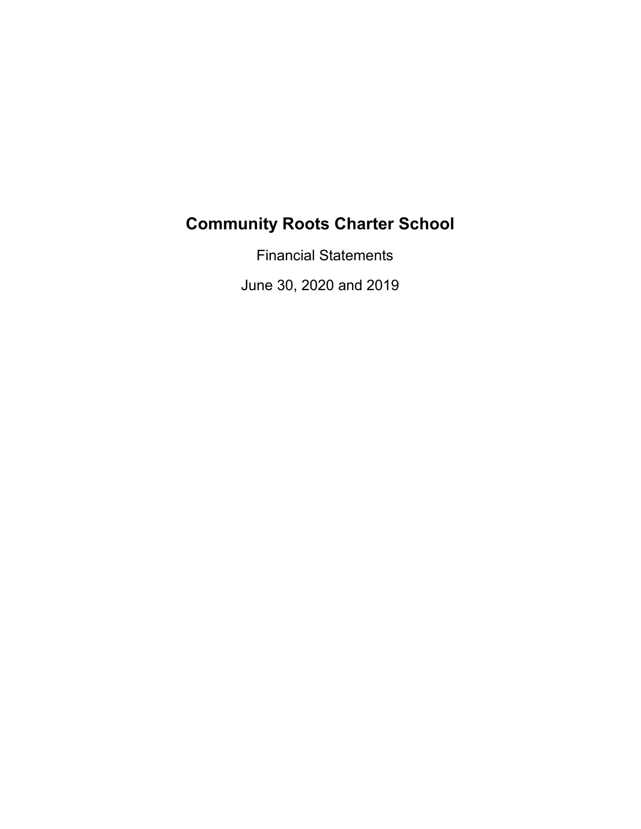Financial Statements June 30, 2020 and 2019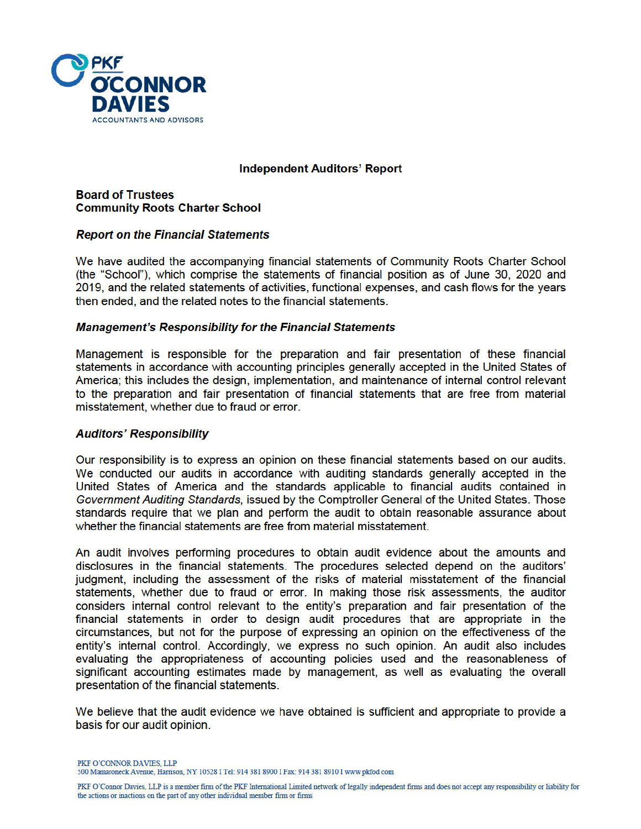

### **Independent Auditors' Report**

**Board of Trustees Community Roots Charter School** 

#### **Report on the Financial Statements**

We have audited the accompanying financial statements of Community Roots Charter School (the "School"), which comprise the statements of financial position as of June 30, 2020 and 2019, and the related statements of activities, functional expenses, and cash flows for the years then ended, and the related notes to the financial statements.

#### **Management's Responsibility for the Financial Statements**

Management is responsible for the preparation and fair presentation of these financial statements in accordance with accounting principles generally accepted in the United States of America; this includes the design, implementation, and maintenance of internal control relevant to the preparation and fair presentation of financial statements that are free from material misstatement, whether due to fraud or error.

#### **Auditors' Responsibility**

Our responsibility is to express an opinion on these financial statements based on our audits. We conducted our audits in accordance with auditing standards generally accepted in the United States of America and the standards applicable to financial audits contained in Government Auditing Standards, issued by the Comptroller General of the United States. Those standards require that we plan and perform the audit to obtain reasonable assurance about whether the financial statements are free from material misstatement.

An audit involves performing procedures to obtain audit evidence about the amounts and disclosures in the financial statements. The procedures selected depend on the auditors' judgment, including the assessment of the risks of material misstatement of the financial statements, whether due to fraud or error. In making those risk assessments, the auditor considers internal control relevant to the entity's preparation and fair presentation of the financial statements in order to design audit procedures that are appropriate in the circumstances, but not for the purpose of expressing an opinion on the effectiveness of the entity's internal control. Accordingly, we express no such opinion. An audit also includes evaluating the appropriateness of accounting policies used and the reasonableness of significant accounting estimates made by management, as well as evaluating the overall presentation of the financial statements.

We believe that the audit evidence we have obtained is sufficient and appropriate to provide a basis for our audit opinion.

PKF O'CONNOR DAVIES, LLP 500 Mamaroneck Avenue, Harrison, NY 10528 I Tel: 914 381 8900 I Fax: 914 381 8910 I www pkfod com

PKF O'Connor Davies, LLP is a member firm of the PKF International Limited network of legally independent firms and does not accept any responsibility or liability for the actions or inactions on the part of any other individual member firm or firms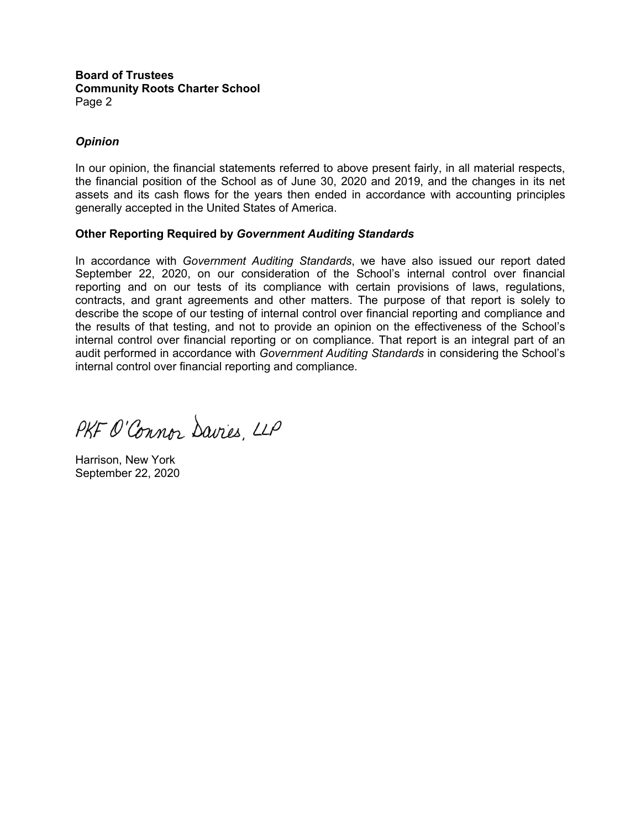#### **Board of Trustees Community Roots Charter School** Page 2

### *Opinion*

In our opinion, the financial statements referred to above present fairly, in all material respects, the financial position of the School as of June 30, 2020 and 2019, and the changes in its net assets and its cash flows for the years then ended in accordance with accounting principles generally accepted in the United States of America.

#### **Other Reporting Required by** *Government Auditing Standards*

In accordance with *Government Auditing Standards*, we have also issued our report dated September 22, 2020, on our consideration of the School's internal control over financial reporting and on our tests of its compliance with certain provisions of laws, regulations, contracts, and grant agreements and other matters. The purpose of that report is solely to describe the scope of our testing of internal control over financial reporting and compliance and the results of that testing, and not to provide an opinion on the effectiveness of the School's internal control over financial reporting or on compliance. That report is an integral part of an audit performed in accordance with *Government Auditing Standards* in considering the School's internal control over financial reporting and compliance.

PKF O'Connor Davies, LLP

Harrison, New York September 22, 2020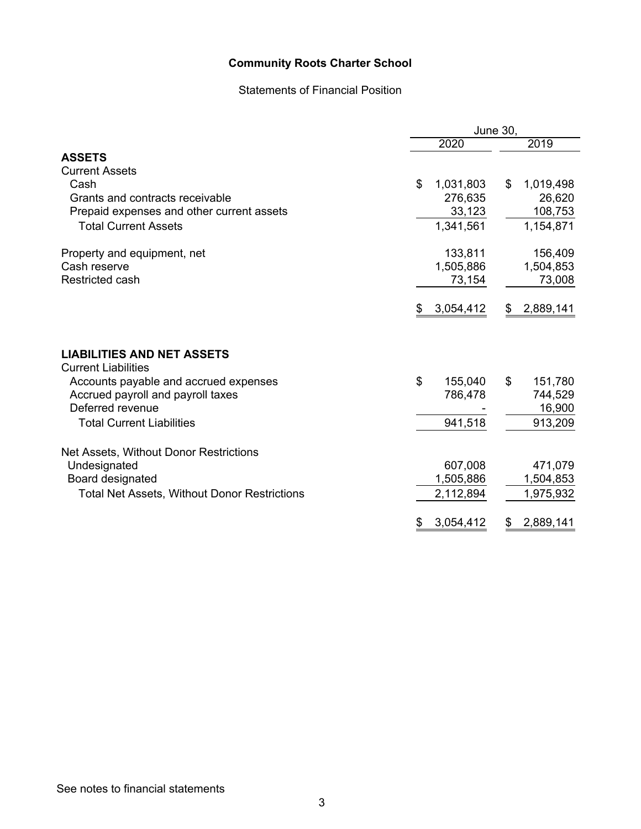## Statements of Financial Position

|                                                                                                          | June 30,        |                 |  |  |
|----------------------------------------------------------------------------------------------------------|-----------------|-----------------|--|--|
|                                                                                                          | 2020            | 2019            |  |  |
| <b>ASSETS</b>                                                                                            |                 |                 |  |  |
| <b>Current Assets</b>                                                                                    |                 |                 |  |  |
| Cash                                                                                                     | \$<br>1,031,803 | \$<br>1,019,498 |  |  |
| Grants and contracts receivable                                                                          | 276,635         | 26,620          |  |  |
| Prepaid expenses and other current assets                                                                | 33,123          | 108,753         |  |  |
| <b>Total Current Assets</b>                                                                              | 1,341,561       | 1,154,871       |  |  |
| Property and equipment, net                                                                              | 133,811         | 156,409         |  |  |
| Cash reserve                                                                                             | 1,505,886       | 1,504,853       |  |  |
| <b>Restricted cash</b>                                                                                   | 73,154          | 73,008          |  |  |
|                                                                                                          | 3,054,412<br>\$ | \$<br>2,889,141 |  |  |
| <b>LIABILITIES AND NET ASSETS</b><br><b>Current Liabilities</b><br>Accounts payable and accrued expenses | \$<br>155,040   | \$<br>151,780   |  |  |
| Accrued payroll and payroll taxes                                                                        | 786,478         | 744,529         |  |  |
| Deferred revenue                                                                                         |                 | 16,900          |  |  |
| <b>Total Current Liabilities</b>                                                                         | 941,518         | 913,209         |  |  |
| Net Assets, Without Donor Restrictions                                                                   |                 |                 |  |  |
| Undesignated                                                                                             | 607,008         | 471,079         |  |  |
| Board designated                                                                                         | 1,505,886       | 1,504,853       |  |  |
| <b>Total Net Assets, Without Donor Restrictions</b>                                                      | 2,112,894       | 1,975,932       |  |  |
|                                                                                                          | 3,054,412<br>\$ | 2,889,141<br>\$ |  |  |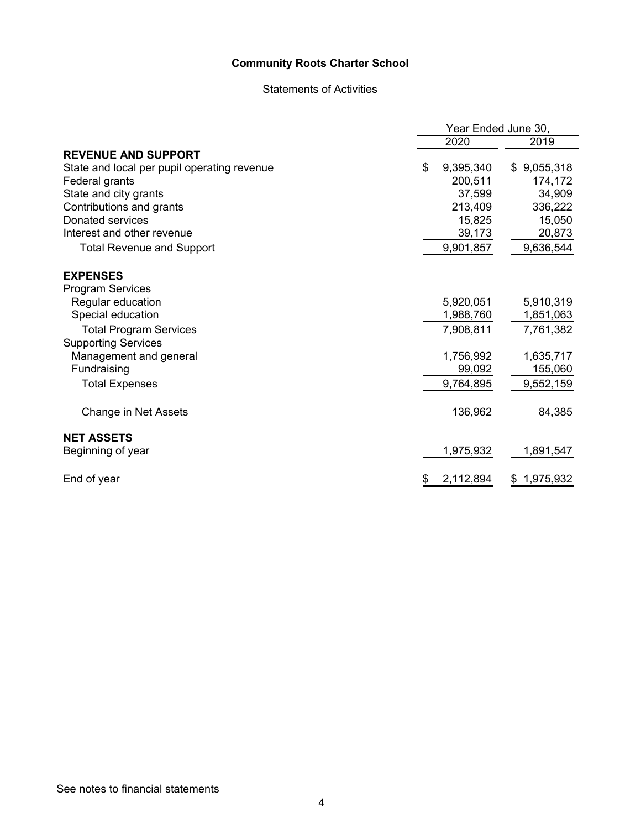#### Statements of Activities

|                                             | Year Ended June 30, |             |  |  |
|---------------------------------------------|---------------------|-------------|--|--|
|                                             | 2020                | 2019        |  |  |
| <b>REVENUE AND SUPPORT</b>                  |                     |             |  |  |
| State and local per pupil operating revenue | \$<br>9,395,340     | \$9,055,318 |  |  |
| Federal grants                              | 200,511             | 174,172     |  |  |
| State and city grants                       | 37,599              | 34,909      |  |  |
| Contributions and grants                    | 213,409             | 336,222     |  |  |
| Donated services                            | 15,825              | 15,050      |  |  |
| Interest and other revenue                  | 39,173              | 20,873      |  |  |
| <b>Total Revenue and Support</b>            | 9,901,857           | 9,636,544   |  |  |
| <b>EXPENSES</b>                             |                     |             |  |  |
| <b>Program Services</b>                     |                     |             |  |  |
| Regular education                           | 5,920,051           | 5,910,319   |  |  |
| Special education                           | 1,988,760           | 1,851,063   |  |  |
| <b>Total Program Services</b>               | 7,908,811           | 7,761,382   |  |  |
| <b>Supporting Services</b>                  |                     |             |  |  |
| Management and general                      | 1,756,992           | 1,635,717   |  |  |
| Fundraising                                 | 99,092              | 155,060     |  |  |
| <b>Total Expenses</b>                       | 9,764,895           | 9,552,159   |  |  |
| Change in Net Assets                        | 136,962             | 84,385      |  |  |
| <b>NET ASSETS</b>                           |                     |             |  |  |
| Beginning of year                           | 1,975,932           | 1,891,547   |  |  |
| End of year                                 | \$<br>2,112,894     | \$1,975,932 |  |  |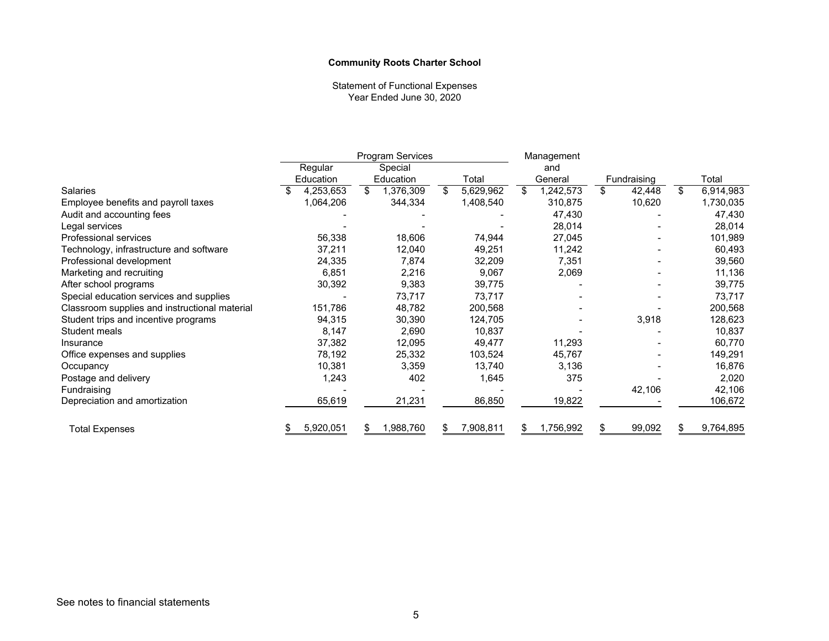#### Statement of Functional Expenses Year Ended June 30, 2020

|                                               |           |     | Program Services |                 | Management      |              |    |           |
|-----------------------------------------------|-----------|-----|------------------|-----------------|-----------------|--------------|----|-----------|
|                                               | Regular   |     | Special          |                 | and             |              |    |           |
|                                               | Education |     | Education        | Total           | General         | Fundraising  |    | Total     |
| Salaries                                      | 4,253,653 | \$  | 1,376,309        | \$<br>5,629,962 | \$<br>,242,573  | \$<br>42,448 | \$ | 6,914,983 |
| Employee benefits and payroll taxes           | 1,064,206 |     | 344,334          | 1,408,540       | 310,875         | 10,620       |    | 1,730,035 |
| Audit and accounting fees                     |           |     |                  |                 | 47,430          |              |    | 47,430    |
| Legal services                                |           |     |                  |                 | 28,014          |              |    | 28,014    |
| Professional services                         | 56,338    |     | 18,606           | 74,944          | 27,045          |              |    | 101,989   |
| Technology, infrastructure and software       | 37,211    |     | 12,040           | 49,251          | 11,242          |              |    | 60,493    |
| Professional development                      | 24,335    |     | 7,874            | 32,209          | 7,351           |              |    | 39,560    |
| Marketing and recruiting                      | 6,851     |     | 2,216            | 9,067           | 2,069           |              |    | 11,136    |
| After school programs                         | 30,392    |     | 9,383            | 39,775          |                 |              |    | 39,775    |
| Special education services and supplies       |           |     | 73,717           | 73,717          |                 |              |    | 73,717    |
| Classroom supplies and instructional material | 151,786   |     | 48,782           | 200,568         |                 |              |    | 200,568   |
| Student trips and incentive programs          | 94,315    |     | 30,390           | 124,705         |                 | 3,918        |    | 128,623   |
| Student meals                                 | 8,147     |     | 2,690            | 10,837          |                 |              |    | 10,837    |
| Insurance                                     | 37,382    |     | 12,095           | 49,477          | 11,293          |              |    | 60,770    |
| Office expenses and supplies                  | 78,192    |     | 25,332           | 103,524         | 45,767          |              |    | 149,291   |
| Occupancy                                     | 10,381    |     | 3,359            | 13,740          | 3,136           |              |    | 16,876    |
| Postage and delivery                          | 1,243     |     | 402              | 1,645           | 375             |              |    | 2,020     |
| Fundraising                                   |           |     |                  |                 |                 | 42,106       |    | 42,106    |
| Depreciation and amortization                 | 65,619    |     | 21,231           | 86,850          | 19,822          |              |    | 106,672   |
| <b>Total Expenses</b>                         | 5,920,051 | \$. | 1,988,760        | 7,908,811       | \$<br>1,756,992 | 99,092       | S  | 9,764,895 |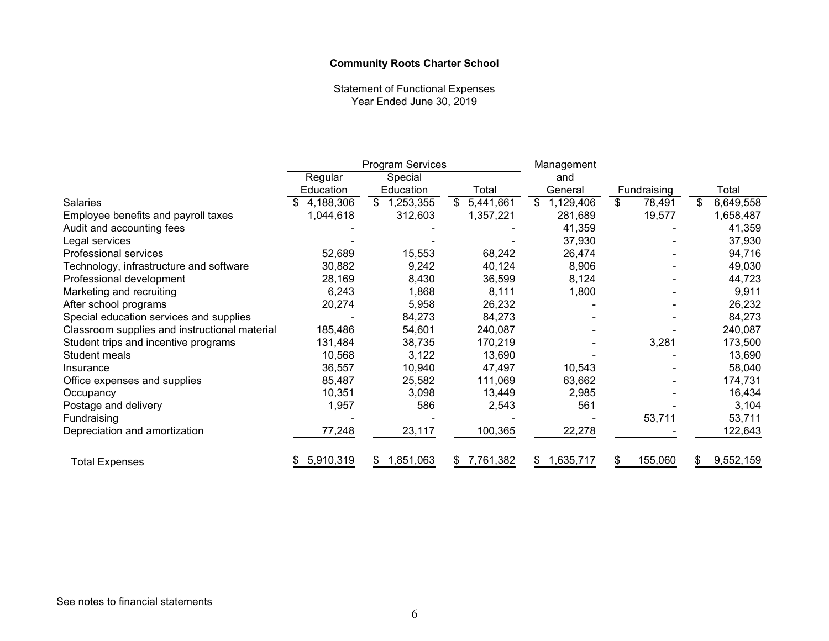Statement of Functional Expenses Year Ended June 30, 2019

|                                               |                 | <b>Program Services</b> |                 | Management      |               |                 |
|-----------------------------------------------|-----------------|-------------------------|-----------------|-----------------|---------------|-----------------|
|                                               | Regular         | Special                 |                 | and             |               |                 |
|                                               | Education       | Education               | Total           | General         | Fundraising   | Total           |
| <b>Salaries</b>                               | 4,188,306       | 1,253,355<br>\$         | 5,441,661<br>\$ | \$<br>1,129,406 | \$<br>78,491  | \$<br>6,649,558 |
| Employee benefits and payroll taxes           | 1,044,618       | 312,603                 | 1,357,221       | 281,689         | 19,577        | 1,658,487       |
| Audit and accounting fees                     |                 |                         |                 | 41,359          |               | 41,359          |
| Legal services                                |                 |                         |                 | 37,930          |               | 37,930          |
| Professional services                         | 52,689          | 15,553                  | 68,242          | 26,474          |               | 94,716          |
| Technology, infrastructure and software       | 30,882          | 9,242                   | 40,124          | 8,906           |               | 49,030          |
| Professional development                      | 28,169          | 8,430                   | 36,599          | 8,124           |               | 44,723          |
| Marketing and recruiting                      | 6,243           | 1,868                   | 8,111           | 1,800           |               | 9,911           |
| After school programs                         | 20,274          | 5,958                   | 26,232          |                 |               | 26,232          |
| Special education services and supplies       |                 | 84,273                  | 84,273          |                 |               | 84,273          |
| Classroom supplies and instructional material | 185,486         | 54,601                  | 240,087         |                 |               | 240,087         |
| Student trips and incentive programs          | 131,484         | 38,735                  | 170,219         |                 | 3,281         | 173,500         |
| Student meals                                 | 10,568          | 3,122                   | 13,690          |                 |               | 13,690          |
| Insurance                                     | 36,557          | 10,940                  | 47,497          | 10,543          |               | 58,040          |
| Office expenses and supplies                  | 85,487          | 25,582                  | 111,069         | 63,662          |               | 174,731         |
| Occupancy                                     | 10,351          | 3,098                   | 13,449          | 2,985           |               | 16,434          |
| Postage and delivery                          | 1,957           | 586                     | 2,543           | 561             |               | 3,104           |
| Fundraising                                   |                 |                         |                 |                 | 53,711        | 53,711          |
| Depreciation and amortization                 | 77,248          | 23,117                  | 100,365         | 22,278          |               | 122,643         |
| <b>Total Expenses</b>                         | 5,910,319<br>\$ | 1,851,063<br>S.         | 7,761,382<br>S. | 1,635,717<br>S. | 155,060<br>\$ | 9,552,159<br>\$ |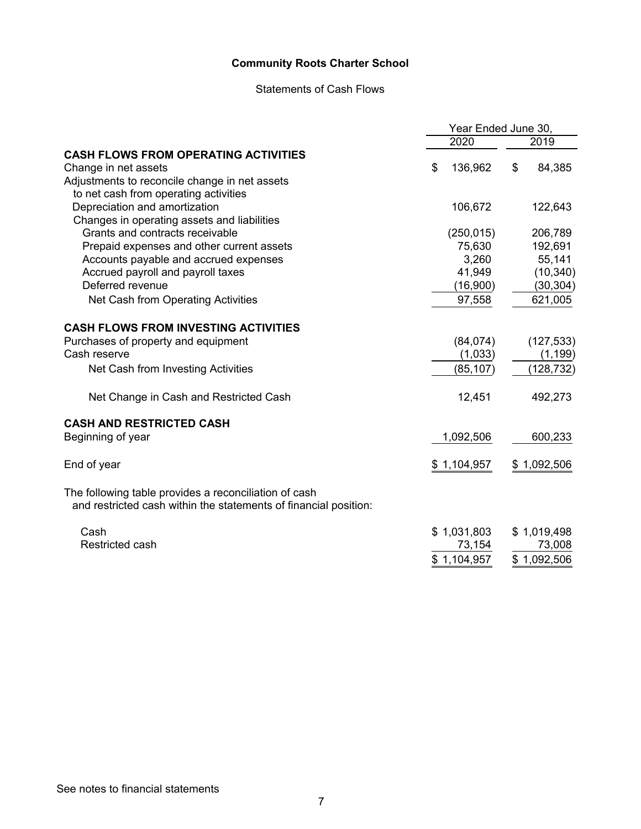#### Statements of Cash Flows

|                                                                                                                           | Year Ended June 30, |              |
|---------------------------------------------------------------------------------------------------------------------------|---------------------|--------------|
|                                                                                                                           | 2020                | 2019         |
| <b>CASH FLOWS FROM OPERATING ACTIVITIES</b>                                                                               |                     |              |
| Change in net assets                                                                                                      | \$<br>136,962       | \$<br>84,385 |
| Adjustments to reconcile change in net assets                                                                             |                     |              |
| to net cash from operating activities                                                                                     |                     |              |
| Depreciation and amortization                                                                                             | 106,672             | 122,643      |
| Changes in operating assets and liabilities                                                                               |                     |              |
| Grants and contracts receivable                                                                                           | (250, 015)          | 206,789      |
| Prepaid expenses and other current assets                                                                                 | 75,630              | 192,691      |
| Accounts payable and accrued expenses                                                                                     | 3,260               | 55,141       |
| Accrued payroll and payroll taxes                                                                                         | 41,949              | (10, 340)    |
| Deferred revenue                                                                                                          | (16,900)            | (30, 304)    |
| Net Cash from Operating Activities                                                                                        | 97,558              | 621,005      |
| <b>CASH FLOWS FROM INVESTING ACTIVITIES</b>                                                                               |                     |              |
| Purchases of property and equipment                                                                                       | (84, 074)           | (127, 533)   |
| Cash reserve                                                                                                              | (1,033)             | (1, 199)     |
| Net Cash from Investing Activities                                                                                        | (85,107)            | (128, 732)   |
| Net Change in Cash and Restricted Cash                                                                                    | 12,451              | 492,273      |
| <b>CASH AND RESTRICTED CASH</b>                                                                                           |                     |              |
| Beginning of year                                                                                                         | 1,092,506           | 600,233      |
| End of year                                                                                                               | \$1,104,957         | \$1,092,506  |
| The following table provides a reconciliation of cash<br>and restricted cash within the statements of financial position: |                     |              |
| Cash                                                                                                                      | \$1,031,803         | \$1,019,498  |
| <b>Restricted cash</b>                                                                                                    | 73,154              | 73,008       |
|                                                                                                                           | \$1,104,957         | \$1,092,506  |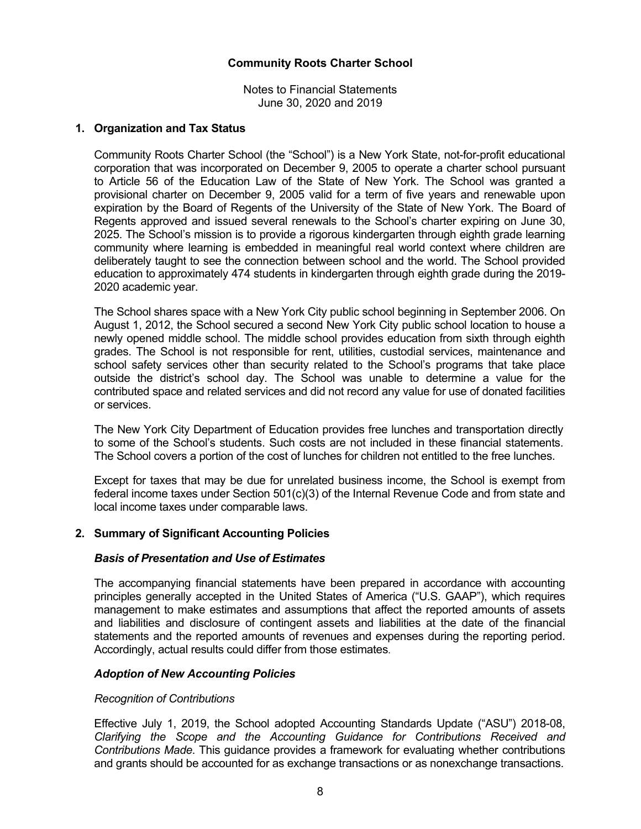Notes to Financial Statements June 30, 2020 and 2019

#### **1. Organization and Tax Status**

Community Roots Charter School (the "School") is a New York State, not-for-profit educational corporation that was incorporated on December 9, 2005 to operate a charter school pursuant to Article 56 of the Education Law of the State of New York. The School was granted a provisional charter on December 9, 2005 valid for a term of five years and renewable upon expiration by the Board of Regents of the University of the State of New York. The Board of Regents approved and issued several renewals to the School's charter expiring on June 30, 2025. The School's mission is to provide a rigorous kindergarten through eighth grade learning community where learning is embedded in meaningful real world context where children are deliberately taught to see the connection between school and the world. The School provided education to approximately 474 students in kindergarten through eighth grade during the 2019- 2020 academic year.

The School shares space with a New York City public school beginning in September 2006. On August 1, 2012, the School secured a second New York City public school location to house a newly opened middle school. The middle school provides education from sixth through eighth grades. The School is not responsible for rent, utilities, custodial services, maintenance and school safety services other than security related to the School's programs that take place outside the district's school day. The School was unable to determine a value for the contributed space and related services and did not record any value for use of donated facilities or services.

The New York City Department of Education provides free lunches and transportation directly to some of the School's students. Such costs are not included in these financial statements. The School covers a portion of the cost of lunches for children not entitled to the free lunches.

Except for taxes that may be due for unrelated business income, the School is exempt from federal income taxes under Section 501(c)(3) of the Internal Revenue Code and from state and local income taxes under comparable laws.

#### **2. Summary of Significant Accounting Policies**

#### *Basis of Presentation and Use of Estimates*

The accompanying financial statements have been prepared in accordance with accounting principles generally accepted in the United States of America ("U.S. GAAP"), which requires management to make estimates and assumptions that affect the reported amounts of assets and liabilities and disclosure of contingent assets and liabilities at the date of the financial statements and the reported amounts of revenues and expenses during the reporting period. Accordingly, actual results could differ from those estimates.

#### *Adoption of New Accounting Policies*

#### *Recognition of Contributions*

Effective July 1, 2019, the School adopted Accounting Standards Update ("ASU") 2018-08, *Clarifying the Scope and the Accounting Guidance for Contributions Received and Contributions Made*. This guidance provides a framework for evaluating whether contributions and grants should be accounted for as exchange transactions or as nonexchange transactions.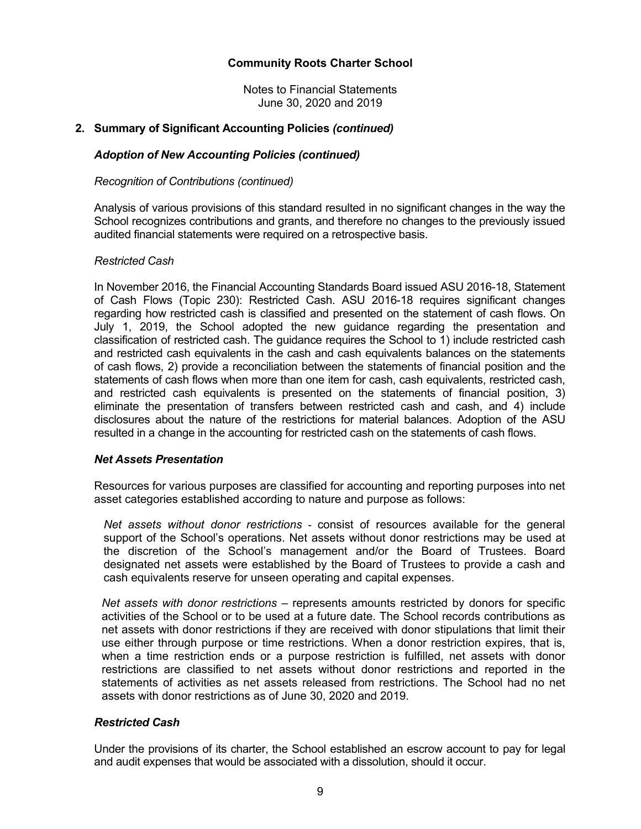Notes to Financial Statements June 30, 2020 and 2019

#### **2. Summary of Significant Accounting Policies** *(continued)*

#### *Adoption of New Accounting Policies (continued)*

#### *Recognition of Contributions (continued)*

Analysis of various provisions of this standard resulted in no significant changes in the way the School recognizes contributions and grants, and therefore no changes to the previously issued audited financial statements were required on a retrospective basis.

#### *Restricted Cash*

In November 2016, the Financial Accounting Standards Board issued ASU 2016-18, Statement of Cash Flows (Topic 230): Restricted Cash. ASU 2016-18 requires significant changes regarding how restricted cash is classified and presented on the statement of cash flows. On July 1, 2019, the School adopted the new guidance regarding the presentation and classification of restricted cash. The guidance requires the School to 1) include restricted cash and restricted cash equivalents in the cash and cash equivalents balances on the statements of cash flows, 2) provide a reconciliation between the statements of financial position and the statements of cash flows when more than one item for cash, cash equivalents, restricted cash, and restricted cash equivalents is presented on the statements of financial position, 3) eliminate the presentation of transfers between restricted cash and cash, and 4) include disclosures about the nature of the restrictions for material balances. Adoption of the ASU resulted in a change in the accounting for restricted cash on the statements of cash flows.

#### *Net Assets Presentation*

Resources for various purposes are classified for accounting and reporting purposes into net asset categories established according to nature and purpose as follows:

*Net assets without donor restrictions* - consist of resources available for the general support of the School's operations. Net assets without donor restrictions may be used at the discretion of the School's management and/or the Board of Trustees. Board designated net assets were established by the Board of Trustees to provide a cash and cash equivalents reserve for unseen operating and capital expenses.

*Net assets with donor restrictions* – represents amounts restricted by donors for specific activities of the School or to be used at a future date. The School records contributions as net assets with donor restrictions if they are received with donor stipulations that limit their use either through purpose or time restrictions. When a donor restriction expires, that is, when a time restriction ends or a purpose restriction is fulfilled, net assets with donor restrictions are classified to net assets without donor restrictions and reported in the statements of activities as net assets released from restrictions. The School had no net assets with donor restrictions as of June 30, 2020 and 2019.

## *Restricted Cash*

Under the provisions of its charter, the School established an escrow account to pay for legal and audit expenses that would be associated with a dissolution, should it occur.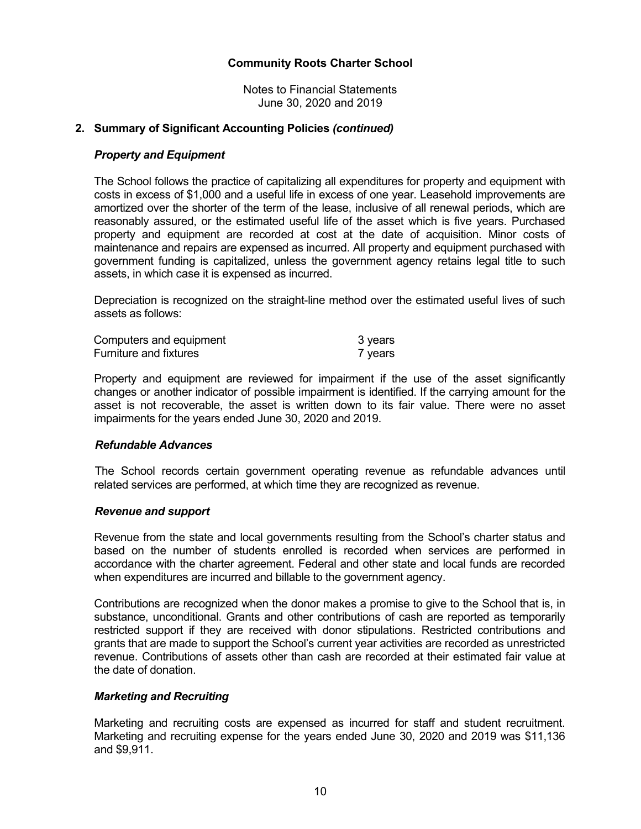Notes to Financial Statements June 30, 2020 and 2019

#### **2. Summary of Significant Accounting Policies** *(continued)*

#### *Property and Equipment*

The School follows the practice of capitalizing all expenditures for property and equipment with costs in excess of \$1,000 and a useful life in excess of one year. Leasehold improvements are amortized over the shorter of the term of the lease, inclusive of all renewal periods, which are reasonably assured, or the estimated useful life of the asset which is five years. Purchased property and equipment are recorded at cost at the date of acquisition. Minor costs of maintenance and repairs are expensed as incurred. All property and equipment purchased with government funding is capitalized, unless the government agency retains legal title to such assets, in which case it is expensed as incurred.

Depreciation is recognized on the straight-line method over the estimated useful lives of such assets as follows:

| Computers and equipment       | 3 years |
|-------------------------------|---------|
| <b>Furniture and fixtures</b> | 7 years |

Property and equipment are reviewed for impairment if the use of the asset significantly changes or another indicator of possible impairment is identified. If the carrying amount for the asset is not recoverable, the asset is written down to its fair value. There were no asset impairments for the years ended June 30, 2020 and 2019.

#### *Refundable Advances*

The School records certain government operating revenue as refundable advances until related services are performed, at which time they are recognized as revenue.

#### *Revenue and support*

Revenue from the state and local governments resulting from the School's charter status and based on the number of students enrolled is recorded when services are performed in accordance with the charter agreement. Federal and other state and local funds are recorded when expenditures are incurred and billable to the government agency.

Contributions are recognized when the donor makes a promise to give to the School that is, in substance, unconditional. Grants and other contributions of cash are reported as temporarily restricted support if they are received with donor stipulations. Restricted contributions and grants that are made to support the School's current year activities are recorded as unrestricted revenue. Contributions of assets other than cash are recorded at their estimated fair value at the date of donation.

#### *Marketing and Recruiting*

Marketing and recruiting costs are expensed as incurred for staff and student recruitment. Marketing and recruiting expense for the years ended June 30, 2020 and 2019 was \$11,136 and \$9,911.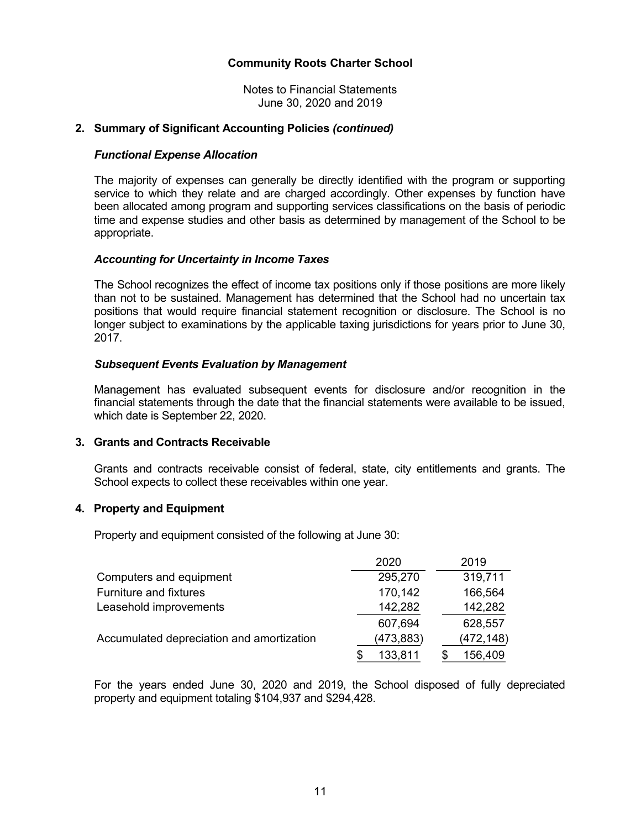Notes to Financial Statements June 30, 2020 and 2019

#### **2. Summary of Significant Accounting Policies** *(continued)*

#### *Functional Expense Allocation*

The majority of expenses can generally be directly identified with the program or supporting service to which they relate and are charged accordingly. Other expenses by function have been allocated among program and supporting services classifications on the basis of periodic time and expense studies and other basis as determined by management of the School to be appropriate.

#### *Accounting for Uncertainty in Income Taxes*

The School recognizes the effect of income tax positions only if those positions are more likely than not to be sustained. Management has determined that the School had no uncertain tax positions that would require financial statement recognition or disclosure. The School is no longer subject to examinations by the applicable taxing jurisdictions for years prior to June 30, 2017.

#### *Subsequent Events Evaluation by Management*

Management has evaluated subsequent events for disclosure and/or recognition in the financial statements through the date that the financial statements were available to be issued, which date is September 22, 2020.

#### **3. Grants and Contracts Receivable**

Grants and contracts receivable consist of federal, state, city entitlements and grants. The School expects to collect these receivables within one year.

#### **4. Property and Equipment**

Property and equipment consisted of the following at June 30:

|                                           | 2020       | 2019       |
|-------------------------------------------|------------|------------|
| Computers and equipment                   | 295,270    | 319,711    |
| Furniture and fixtures                    | 170,142    | 166,564    |
| Leasehold improvements                    | 142,282    | 142,282    |
|                                           | 607,694    | 628,557    |
| Accumulated depreciation and amortization | (473, 883) | (472, 148) |
|                                           | 133,811    | 156,409    |

For the years ended June 30, 2020 and 2019, the School disposed of fully depreciated property and equipment totaling \$104,937 and \$294,428.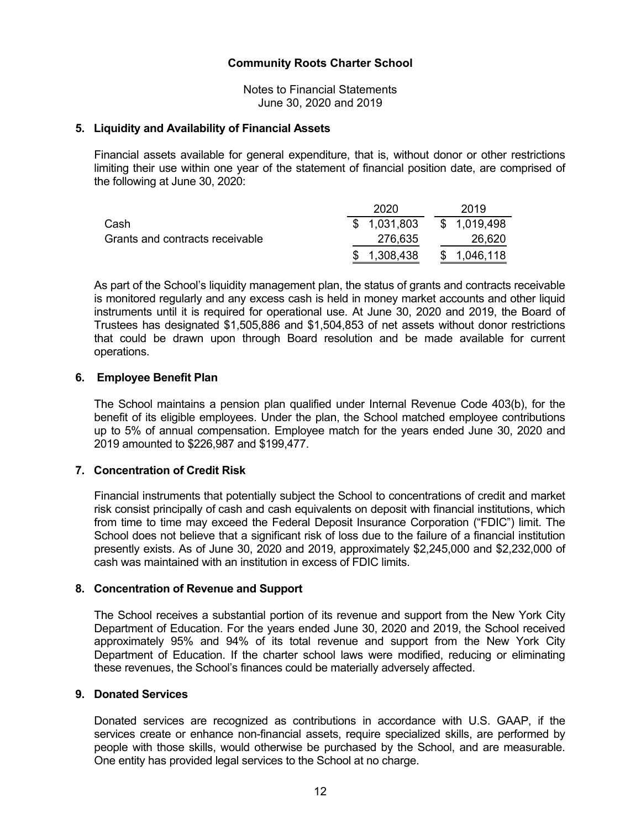Notes to Financial Statements June 30, 2020 and 2019

#### **5. Liquidity and Availability of Financial Assets**

Financial assets available for general expenditure, that is, without donor or other restrictions limiting their use within one year of the statement of financial position date, are comprised of the following at June 30, 2020:

|                                 | 2020        | 2019        |
|---------------------------------|-------------|-------------|
| Cash                            | \$1,031,803 | \$1,019,498 |
| Grants and contracts receivable | 276,635     | 26,620      |
|                                 | 1,308,438   | 1,046,118   |

As part of the School's liquidity management plan, the status of grants and contracts receivable is monitored regularly and any excess cash is held in money market accounts and other liquid instruments until it is required for operational use. At June 30, 2020 and 2019, the Board of Trustees has designated \$1,505,886 and \$1,504,853 of net assets without donor restrictions that could be drawn upon through Board resolution and be made available for current operations.

#### **6. Employee Benefit Plan**

The School maintains a pension plan qualified under Internal Revenue Code 403(b), for the benefit of its eligible employees. Under the plan, the School matched employee contributions up to 5% of annual compensation. Employee match for the years ended June 30, 2020 and 2019 amounted to \$226,987 and \$199,477.

#### **7. Concentration of Credit Risk**

Financial instruments that potentially subject the School to concentrations of credit and market risk consist principally of cash and cash equivalents on deposit with financial institutions, which from time to time may exceed the Federal Deposit Insurance Corporation ("FDIC") limit. The School does not believe that a significant risk of loss due to the failure of a financial institution presently exists. As of June 30, 2020 and 2019, approximately \$2,245,000 and \$2,232,000 of cash was maintained with an institution in excess of FDIC limits.

#### **8. Concentration of Revenue and Support**

The School receives a substantial portion of its revenue and support from the New York City Department of Education. For the years ended June 30, 2020 and 2019, the School received approximately 95% and 94% of its total revenue and support from the New York City Department of Education. If the charter school laws were modified, reducing or eliminating these revenues, the School's finances could be materially adversely affected.

#### **9. Donated Services**

Donated services are recognized as contributions in accordance with U.S. GAAP, if the services create or enhance non-financial assets, require specialized skills, are performed by people with those skills, would otherwise be purchased by the School, and are measurable. One entity has provided legal services to the School at no charge.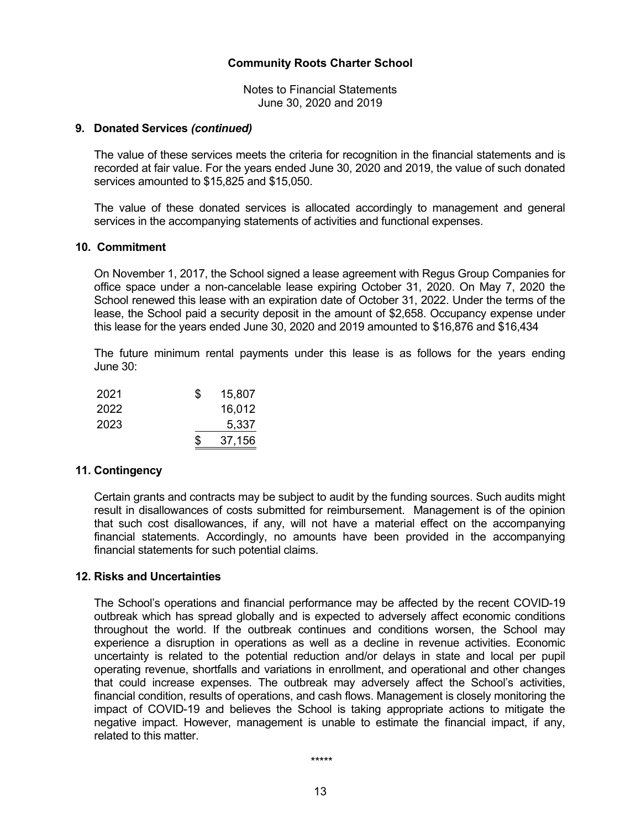Notes to Financial Statements June 30, 2020 and 2019

#### **9. Donated Services** *(continued)*

The value of these services meets the criteria for recognition in the financial statements and is recorded at fair value. For the years ended June 30, 2020 and 2019, the value of such donated services amounted to \$15,825 and \$15,050.

The value of these donated services is allocated accordingly to management and general services in the accompanying statements of activities and functional expenses.

#### **10. Commitment**

On November 1, 2017, the School signed a lease agreement with Regus Group Companies for office space under a non-cancelable lease expiring October 31, 2020. On May 7, 2020 the School renewed this lease with an expiration date of October 31, 2022. Under the terms of the lease, the School paid a security deposit in the amount of \$2,658. Occupancy expense under this lease for the years ended June 30, 2020 and 2019 amounted to \$16,876 and \$16,434

The future minimum rental payments under this lease is as follows for the years ending June 30:

| 2021 | \$ | 15,807 |
|------|----|--------|
| 2022 |    | 16,012 |
| 2023 |    | 5,337  |
|      | S  | 37,156 |

#### **11. Contingency**

Certain grants and contracts may be subject to audit by the funding sources. Such audits might result in disallowances of costs submitted for reimbursement. Management is of the opinion that such cost disallowances, if any, will not have a material effect on the accompanying financial statements. Accordingly, no amounts have been provided in the accompanying financial statements for such potential claims.

#### **12. Risks and Uncertainties**

The School's operations and financial performance may be affected by the recent COVID-19 outbreak which has spread globally and is expected to adversely affect economic conditions throughout the world. If the outbreak continues and conditions worsen, the School may experience a disruption in operations as well as a decline in revenue activities. Economic uncertainty is related to the potential reduction and/or delays in state and local per pupil operating revenue, shortfalls and variations in enrollment, and operational and other changes that could increase expenses. The outbreak may adversely affect the School's activities, financial condition, results of operations, and cash flows. Management is closely monitoring the impact of COVID-19 and believes the School is taking appropriate actions to mitigate the negative impact. However, management is unable to estimate the financial impact, if any, related to this matter.

\*\*\*\*\*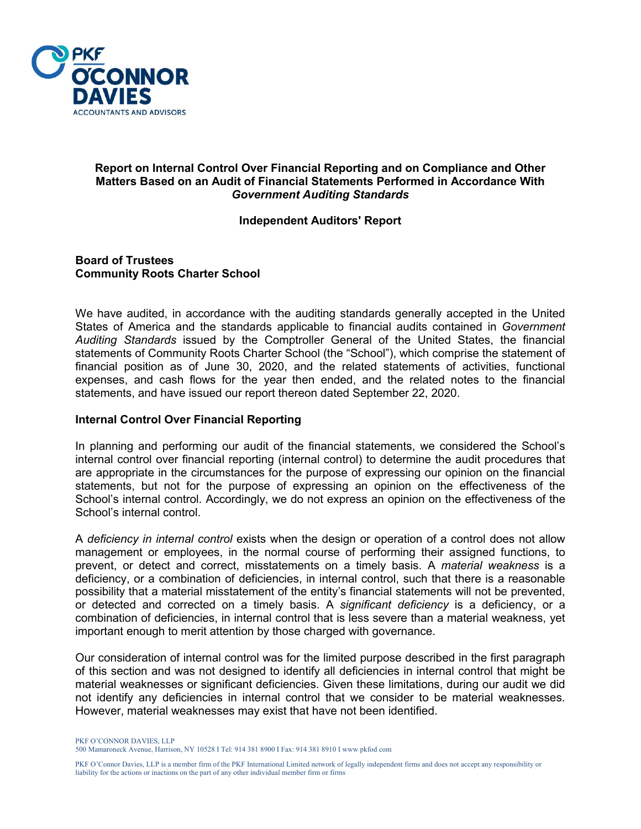

## **Report on Internal Control Over Financial Reporting and on Compliance and Other Matters Based on an Audit of Financial Statements Performed in Accordance With**  *Government Auditing Standards*

#### **Independent Auditors' Report**

#### **Board of Trustees Community Roots Charter School**

We have audited, in accordance with the auditing standards generally accepted in the United States of America and the standards applicable to financial audits contained in *Government Auditing Standards* issued by the Comptroller General of the United States, the financial statements of Community Roots Charter School (the "School"), which comprise the statement of financial position as of June 30, 2020, and the related statements of activities, functional expenses, and cash flows for the year then ended, and the related notes to the financial statements, and have issued our report thereon dated September 22, 2020.

### **Internal Control Over Financial Reporting**

In planning and performing our audit of the financial statements, we considered the School's internal control over financial reporting (internal control) to determine the audit procedures that are appropriate in the circumstances for the purpose of expressing our opinion on the financial statements, but not for the purpose of expressing an opinion on the effectiveness of the School's internal control. Accordingly, we do not express an opinion on the effectiveness of the School's internal control.

A *deficiency in internal control* exists when the design or operation of a control does not allow management or employees, in the normal course of performing their assigned functions, to prevent, or detect and correct, misstatements on a timely basis. A *material weakness* is a deficiency, or a combination of deficiencies, in internal control, such that there is a reasonable possibility that a material misstatement of the entity's financial statements will not be prevented, or detected and corrected on a timely basis. A *significant deficiency* is a deficiency, or a combination of deficiencies, in internal control that is less severe than a material weakness, yet important enough to merit attention by those charged with governance.

Our consideration of internal control was for the limited purpose described in the first paragraph of this section and was not designed to identify all deficiencies in internal control that might be material weaknesses or significant deficiencies. Given these limitations, during our audit we did not identify any deficiencies in internal control that we consider to be material weaknesses. However, material weaknesses may exist that have not been identified.

PKF O'CONNOR DAVIES, LLP

500 Mamaroneck Avenue, Harrison, NY 10528 I Tel: 914 381 8900 I Fax: 914 381 8910 I www pkfod com

PKF O'Connor Davies, LLP is a member firm of the PKF International Limited network of legally independent firms and does not accept any responsibility or liability for the actions or inactions on the part of any other individual member firm or firms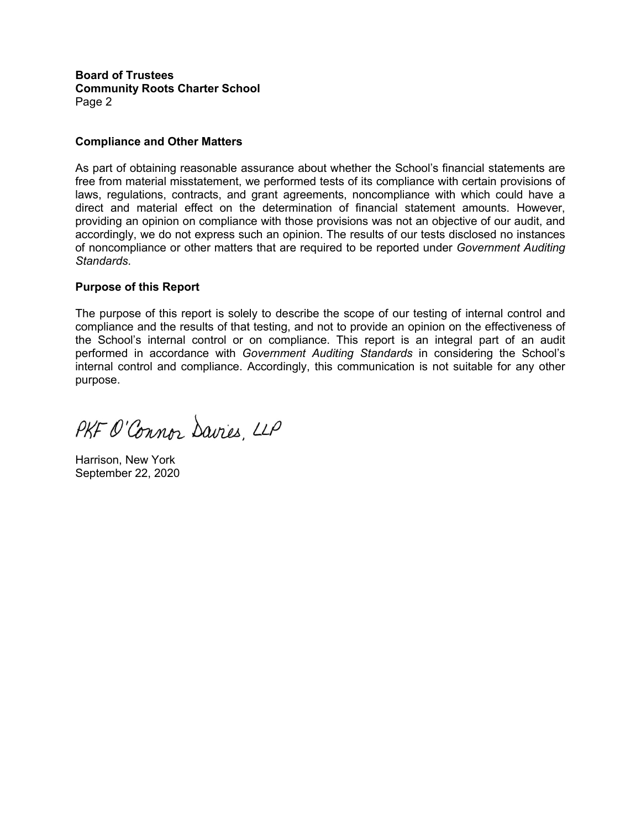#### **Board of Trustees Community Roots Charter School** Page 2

#### **Compliance and Other Matters**

As part of obtaining reasonable assurance about whether the School's financial statements are free from material misstatement, we performed tests of its compliance with certain provisions of laws, regulations, contracts, and grant agreements, noncompliance with which could have a direct and material effect on the determination of financial statement amounts. However, providing an opinion on compliance with those provisions was not an objective of our audit, and accordingly, we do not express such an opinion. The results of our tests disclosed no instances of noncompliance or other matters that are required to be reported under *Government Auditing Standards*.

#### **Purpose of this Report**

The purpose of this report is solely to describe the scope of our testing of internal control and compliance and the results of that testing, and not to provide an opinion on the effectiveness of the School's internal control or on compliance. This report is an integral part of an audit performed in accordance with *Government Auditing Standards* in considering the School's internal control and compliance. Accordingly, this communication is not suitable for any other purpose.

PKF O'Connor Davies, LLP

Harrison, New York September 22, 2020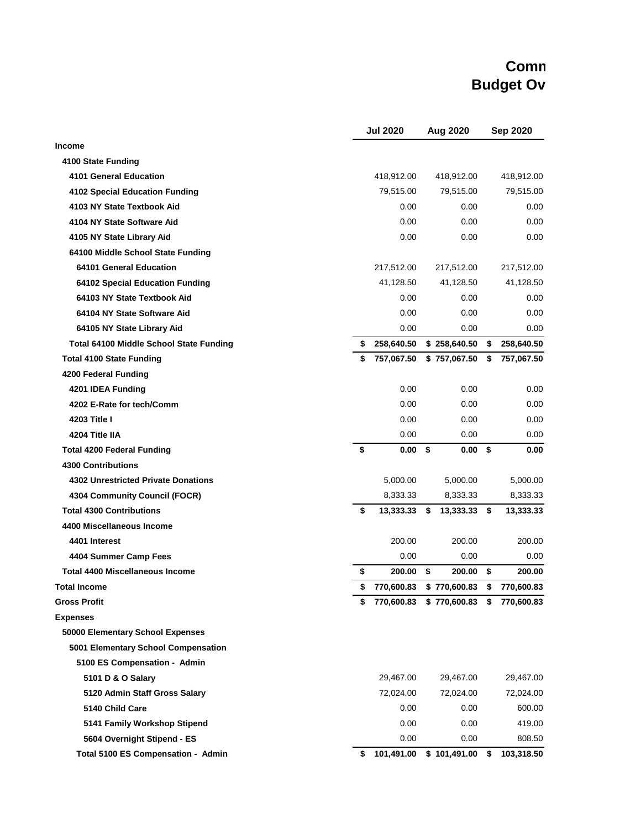## **Comm Budget Ov**

|                                                | <b>Jul 2020</b>  |      | Aug 2020                | Sep 2020         |
|------------------------------------------------|------------------|------|-------------------------|------------------|
| <b>Income</b>                                  |                  |      |                         |                  |
| 4100 State Funding                             |                  |      |                         |                  |
| 4101 General Education                         | 418,912.00       |      | 418,912.00              | 418,912.00       |
| 4102 Special Education Funding                 | 79,515.00        |      | 79,515.00               | 79,515.00        |
| 4103 NY State Textbook Aid                     | 0.00             |      | 0.00                    | 0.00             |
| 4104 NY State Software Aid                     | 0.00             |      | 0.00                    | 0.00             |
| 4105 NY State Library Aid                      | 0.00             |      | 0.00                    | 0.00             |
| 64100 Middle School State Funding              |                  |      |                         |                  |
| 64101 General Education                        | 217,512.00       |      | 217,512.00              | 217,512.00       |
| 64102 Special Education Funding                | 41,128.50        |      | 41,128.50               | 41,128.50        |
| 64103 NY State Textbook Aid                    | 0.00             |      | 0.00                    | 0.00             |
| 64104 NY State Software Aid                    | 0.00             |      | 0.00                    | 0.00             |
| 64105 NY State Library Aid                     | 0.00             |      | 0.00                    | 0.00             |
| <b>Total 64100 Middle School State Funding</b> | \$<br>258,640.50 |      | \$258,640.50            | \$<br>258,640.50 |
| <b>Total 4100 State Funding</b>                | \$<br>757,067.50 |      | \$757,067.50            | \$<br>757,067.50 |
| 4200 Federal Funding                           |                  |      |                         |                  |
| 4201 IDEA Funding                              | 0.00             |      | 0.00                    | 0.00             |
| 4202 E-Rate for tech/Comm                      | 0.00             |      | 0.00                    | 0.00             |
| 4203 Title I                                   | 0.00             |      | 0.00                    | 0.00             |
| 4204 Title IIA                                 | 0.00             |      | 0.00                    | 0.00             |
| <b>Total 4200 Federal Funding</b>              | \$<br>0.00       | - \$ | 0.00                    | \$<br>0.00       |
| <b>4300 Contributions</b>                      |                  |      |                         |                  |
| 4302 Unrestricted Private Donations            | 5,000.00         |      | 5,000.00                | 5,000.00         |
| 4304 Community Council (FOCR)                  | 8,333.33         |      | 8,333.33                | 8,333.33         |
| <b>Total 4300 Contributions</b>                | \$<br>13,333.33  | \$   | 13,333.33               | \$<br>13,333.33  |
| 4400 Miscellaneous Income                      |                  |      |                         |                  |
| 4401 Interest                                  | 200.00           |      | 200.00                  | 200.00           |
| 4404 Summer Camp Fees                          | 0.00             |      | 0.00                    | 0.00             |
| Total 4400 Miscellaneous Income                | \$<br>200.00     | \$   | 200.00                  | \$<br>200.00     |
| Total Income                                   | \$<br>770,600.83 |      | \$770,600.83            | \$<br>770,600.83 |
| <b>Gross Profit</b>                            | \$               |      | 770,600.83 \$770,600.83 | \$<br>770,600.83 |
| <b>Expenses</b>                                |                  |      |                         |                  |
| 50000 Elementary School Expenses               |                  |      |                         |                  |
| 5001 Elementary School Compensation            |                  |      |                         |                  |
| 5100 ES Compensation - Admin                   |                  |      |                         |                  |
| 5101 D & O Salary                              | 29,467.00        |      | 29,467.00               | 29,467.00        |
| 5120 Admin Staff Gross Salary                  | 72,024.00        |      | 72,024.00               | 72,024.00        |
| 5140 Child Care                                | 0.00             |      | 0.00                    | 600.00           |
| 5141 Family Workshop Stipend                   | 0.00             |      | 0.00                    | 419.00           |
| 5604 Overnight Stipend - ES                    | 0.00             |      | 0.00                    | 808.50           |
| Total 5100 ES Compensation - Admin             | \$<br>101,491.00 |      | \$101,491.00            | \$<br>103,318.50 |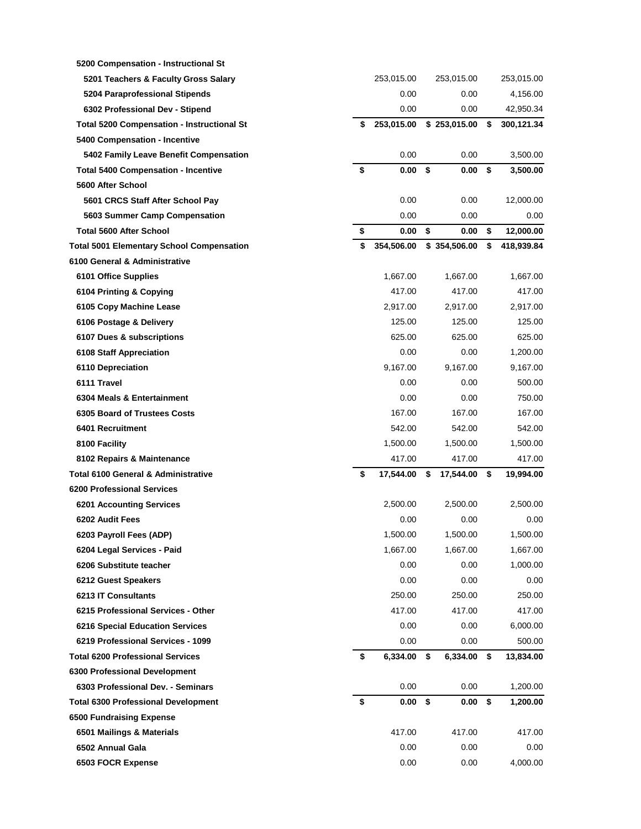| 5200 Compensation - Instructional St              |                  |     |              |                  |
|---------------------------------------------------|------------------|-----|--------------|------------------|
| 5201 Teachers & Faculty Gross Salary              | 253,015.00       |     | 253,015.00   | 253,015.00       |
| 5204 Paraprofessional Stipends                    | 0.00             |     | 0.00         | 4,156.00         |
| 6302 Professional Dev - Stipend                   | 0.00             |     | 0.00         | 42,950.34        |
| <b>Total 5200 Compensation - Instructional St</b> | \$<br>253,015.00 |     | \$253,015.00 | \$<br>300,121.34 |
| 5400 Compensation - Incentive                     |                  |     |              |                  |
| 5402 Family Leave Benefit Compensation            | 0.00             |     | 0.00         | 3,500.00         |
| <b>Total 5400 Compensation - Incentive</b>        | \$<br>0.00       | -\$ | 0.00         | \$<br>3,500.00   |
| 5600 After School                                 |                  |     |              |                  |
| 5601 CRCS Staff After School Pay                  | 0.00             |     | 0.00         | 12,000.00        |
| 5603 Summer Camp Compensation                     | 0.00             |     | 0.00         | 0.00             |
| <b>Total 5600 After School</b>                    | \$<br>0.00       | \$  | 0.00         | \$<br>12,000.00  |
| <b>Total 5001 Elementary School Compensation</b>  | \$<br>354,506.00 |     | \$354,506.00 | \$<br>418,939.84 |
| 6100 General & Administrative                     |                  |     |              |                  |
| 6101 Office Supplies                              | 1,667.00         |     | 1,667.00     | 1,667.00         |
| 6104 Printing & Copying                           | 417.00           |     | 417.00       | 417.00           |
| 6105 Copy Machine Lease                           | 2,917.00         |     | 2,917.00     | 2,917.00         |
| 6106 Postage & Delivery                           | 125.00           |     | 125.00       | 125.00           |
| 6107 Dues & subscriptions                         | 625.00           |     | 625.00       | 625.00           |
| 6108 Staff Appreciation                           | 0.00             |     | 0.00         | 1,200.00         |
| 6110 Depreciation                                 | 9,167.00         |     | 9,167.00     | 9,167.00         |
| 6111 Travel                                       | 0.00             |     | 0.00         | 500.00           |
| 6304 Meals & Entertainment                        | 0.00             |     | 0.00         | 750.00           |
| 6305 Board of Trustees Costs                      | 167.00           |     | 167.00       | 167.00           |
| 6401 Recruitment                                  | 542.00           |     | 542.00       | 542.00           |
| 8100 Facility                                     | 1,500.00         |     | 1,500.00     | 1,500.00         |
| 8102 Repairs & Maintenance                        | 417.00           |     | 417.00       | 417.00           |
| <b>Total 6100 General &amp; Administrative</b>    | \$<br>17,544.00  | \$  | 17,544.00    | \$<br>19,994.00  |
| 6200 Professional Services                        |                  |     |              |                  |
| <b>6201 Accounting Services</b>                   | 2,500.00         |     | 2,500.00     | 2,500.00         |
| 6202 Audit Fees                                   | 0.00             |     | 0.00         | 0.00             |
| 6203 Payroll Fees (ADP)                           | 1,500.00         |     | 1,500.00     | 1,500.00         |
| 6204 Legal Services - Paid                        | 1.667.00         |     | 1,667.00     | 1,667.00         |
| 6206 Substitute teacher                           | 0.00             |     | 0.00         | 1,000.00         |
| 6212 Guest Speakers                               | 0.00             |     | 0.00         | 0.00             |
| 6213 IT Consultants                               | 250.00           |     | 250.00       | 250.00           |
| 6215 Professional Services - Other                | 417.00           |     | 417.00       | 417.00           |
| <b>6216 Special Education Services</b>            | 0.00             |     | 0.00         | 6,000.00         |
| 6219 Professional Services - 1099                 | 0.00             |     | 0.00         | 500.00           |
| <b>Total 6200 Professional Services</b>           | \$<br>6,334.00   | \$  | 6,334.00     | \$<br>13,834.00  |
| 6300 Professional Development                     |                  |     |              |                  |
| 6303 Professional Dev. - Seminars                 | 0.00             |     | 0.00         | 1,200.00         |
| <b>Total 6300 Professional Development</b>        | \$<br>$0.00*$    |     | 0.00         | \$<br>1,200.00   |
| 6500 Fundraising Expense                          |                  |     |              |                  |
| 6501 Mailings & Materials                         | 417.00           |     | 417.00       | 417.00           |
| 6502 Annual Gala                                  | 0.00             |     | 0.00         | 0.00             |
| 6503 FOCR Expense                                 | 0.00             |     | 0.00         | 4,000.00         |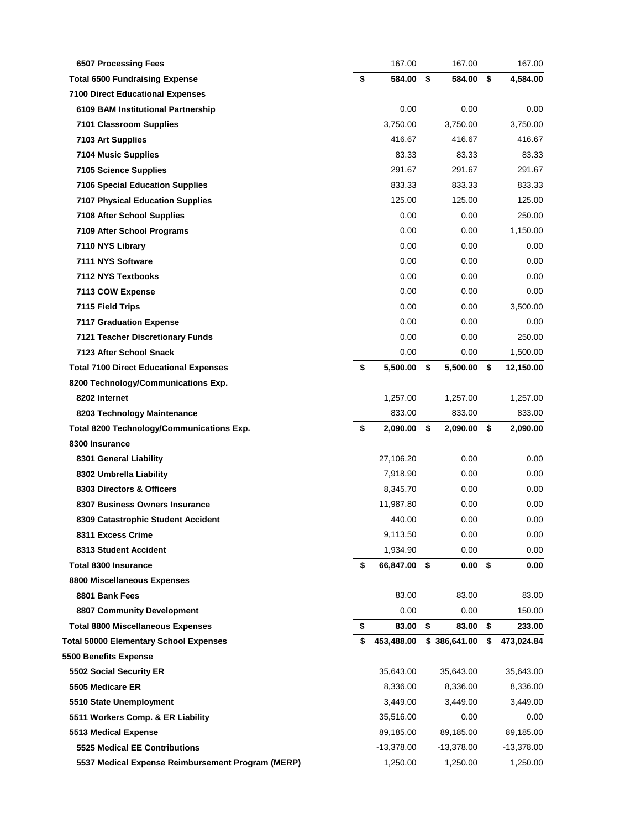| 6507 Processing Fees                                                                      | 167.00                 | 167.00                 | 167.00                   |
|-------------------------------------------------------------------------------------------|------------------------|------------------------|--------------------------|
| <b>Total 6500 Fundraising Expense</b>                                                     | \$<br>584.00           | \$<br>584.00           | \$<br>4,584.00           |
| <b>7100 Direct Educational Expenses</b>                                                   |                        |                        |                          |
| 6109 BAM Institutional Partnership                                                        | 0.00                   | 0.00                   | 0.00                     |
| 7101 Classroom Supplies                                                                   | 3,750.00               | 3,750.00               | 3,750.00                 |
| 7103 Art Supplies                                                                         | 416.67                 | 416.67                 | 416.67                   |
| <b>7104 Music Supplies</b>                                                                | 83.33                  | 83.33                  | 83.33                    |
| 7105 Science Supplies                                                                     | 291.67                 | 291.67                 | 291.67                   |
| <b>7106 Special Education Supplies</b>                                                    | 833.33                 | 833.33                 | 833.33                   |
| <b>7107 Physical Education Supplies</b>                                                   | 125.00                 | 125.00                 | 125.00                   |
| 7108 After School Supplies                                                                | 0.00                   | 0.00                   | 250.00                   |
| 7109 After School Programs                                                                | 0.00                   | 0.00                   | 1,150.00                 |
| 7110 NYS Library                                                                          | 0.00                   | 0.00                   | 0.00                     |
| 7111 NYS Software                                                                         | 0.00                   | 0.00                   | 0.00                     |
| 7112 NYS Textbooks                                                                        | 0.00                   | 0.00                   | 0.00                     |
| 7113 COW Expense                                                                          | 0.00                   | 0.00                   | 0.00                     |
| 7115 Field Trips                                                                          | 0.00                   | 0.00                   | 3,500.00                 |
| <b>7117 Graduation Expense</b>                                                            | 0.00                   | 0.00                   | 0.00                     |
| 7121 Teacher Discretionary Funds                                                          | 0.00                   | 0.00                   | 250.00                   |
| 7123 After School Snack                                                                   | 0.00                   | 0.00                   | 1,500.00                 |
| <b>Total 7100 Direct Educational Expenses</b>                                             | \$<br>5,500.00         | \$<br>5,500.00         | \$<br>12,150.00          |
| 8200 Technology/Communications Exp.                                                       |                        |                        |                          |
| 8202 Internet                                                                             | 1,257.00               | 1,257.00               | 1,257.00                 |
|                                                                                           |                        |                        |                          |
| 8203 Technology Maintenance                                                               | 833.00                 | 833.00                 | 833.00                   |
| <b>Total 8200 Technology/Communications Exp.</b>                                          | \$<br>2,090.00         | \$<br>2,090.00         | \$<br>2,090.00           |
| 8300 Insurance                                                                            |                        |                        |                          |
| 8301 General Liability                                                                    | 27,106.20              | 0.00                   | 0.00                     |
| 8302 Umbrella Liability                                                                   | 7,918.90               | 0.00                   | 0.00                     |
| 8303 Directors & Officers                                                                 | 8,345.70               | 0.00                   | 0.00                     |
| 8307 Business Owners Insurance                                                            | 11,987.80              | 0.00                   | 0.00                     |
| 8309 Catastrophic Student Accident                                                        | 440.00                 | 0.00                   | 0.00                     |
| 8311 Excess Crime                                                                         | 9,113.50               | 0.00                   | 0.00                     |
| 8313 Student Accident                                                                     | 1,934.90               | 0.00                   | 0.00                     |
| <b>Total 8300 Insurance</b>                                                               | \$<br>66,847.00 \$     | $0.00$ \$              | 0.00                     |
| 8800 Miscellaneous Expenses                                                               |                        |                        |                          |
| 8801 Bank Fees                                                                            | 83.00                  | 83.00                  | 83.00                    |
| 8807 Community Development                                                                | 0.00                   | 0.00                   | 150.00                   |
| <b>Total 8800 Miscellaneous Expenses</b>                                                  | \$<br>83.00            | \$<br>83.00            | \$<br>233.00             |
| <b>Total 50000 Elementary School Expenses</b>                                             | \$<br>453,488.00       | \$386,641.00           | \$<br>473,024.84         |
| 5500 Benefits Expense                                                                     |                        |                        |                          |
| 5502 Social Security ER                                                                   | 35,643.00              | 35,643.00              | 35,643.00                |
| 5505 Medicare ER                                                                          | 8,336.00               | 8,336.00               | 8,336.00                 |
| 5510 State Unemployment                                                                   | 3,449.00               | 3,449.00               | 3,449.00                 |
| 5511 Workers Comp. & ER Liability                                                         | 35,516.00              | 0.00                   | 0.00                     |
| 5513 Medical Expense                                                                      | 89,185.00              | 89,185.00              | 89,185.00                |
| <b>5525 Medical EE Contributions</b><br>5537 Medical Expense Reimbursement Program (MERP) | -13,378.00<br>1,250.00 | -13,378.00<br>1,250.00 | $-13,378.00$<br>1,250.00 |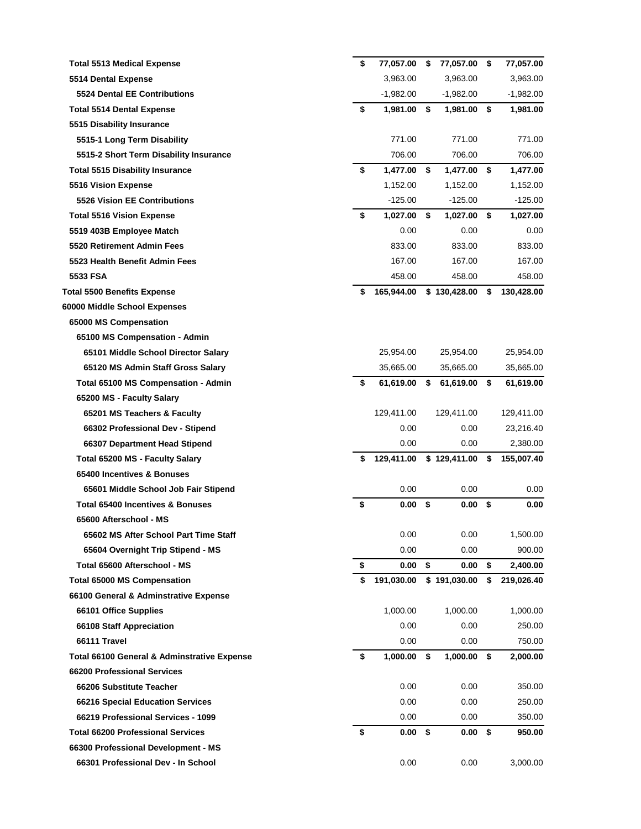| <b>Total 5513 Medical Expense</b>           | \$<br>77,057.00  | \$  | 77,057.00    | \$<br>77,057.00  |
|---------------------------------------------|------------------|-----|--------------|------------------|
| 5514 Dental Expense                         | 3,963.00         |     | 3,963.00     | 3,963.00         |
| 5524 Dental EE Contributions                | $-1,982.00$      |     | $-1,982.00$  | $-1,982.00$      |
| <b>Total 5514 Dental Expense</b>            | \$<br>1,981.00   | \$  | 1,981.00     | \$<br>1,981.00   |
| 5515 Disability Insurance                   |                  |     |              |                  |
| 5515-1 Long Term Disability                 | 771.00           |     | 771.00       | 771.00           |
| 5515-2 Short Term Disability Insurance      | 706.00           |     | 706.00       | 706.00           |
| <b>Total 5515 Disability Insurance</b>      | \$<br>1,477.00   | \$  | 1,477.00     | \$<br>1,477.00   |
| 5516 Vision Expense                         | 1,152.00         |     | 1,152.00     | 1,152.00         |
| 5526 Vision EE Contributions                | $-125.00$        |     | -125.00      | $-125.00$        |
| <b>Total 5516 Vision Expense</b>            | \$<br>1,027.00   | \$  | 1,027.00     | \$<br>1,027.00   |
| 5519 403B Employee Match                    | 0.00             |     | 0.00         | 0.00             |
| 5520 Retirement Admin Fees                  | 833.00           |     | 833.00       | 833.00           |
| 5523 Health Benefit Admin Fees              | 167.00           |     | 167.00       | 167.00           |
| 5533 FSA                                    | 458.00           |     | 458.00       | 458.00           |
| <b>Total 5500 Benefits Expense</b>          | \$<br>165,944.00 |     | \$130,428.00 | \$<br>130,428.00 |
| 60000 Middle School Expenses                |                  |     |              |                  |
| 65000 MS Compensation                       |                  |     |              |                  |
| 65100 MS Compensation - Admin               |                  |     |              |                  |
| 65101 Middle School Director Salary         | 25,954.00        |     | 25,954.00    | 25,954.00        |
| 65120 MS Admin Staff Gross Salary           | 35,665.00        |     | 35,665.00    | 35,665.00        |
| Total 65100 MS Compensation - Admin         | \$<br>61,619.00  | \$  | 61,619.00    | \$<br>61,619.00  |
| 65200 MS - Faculty Salary                   |                  |     |              |                  |
| 65201 MS Teachers & Faculty                 | 129,411.00       |     | 129,411.00   | 129,411.00       |
| 66302 Professional Dev - Stipend            | 0.00             |     | 0.00         | 23,216.40        |
| 66307 Department Head Stipend               | 0.00             |     | 0.00         | 2,380.00         |
| Total 65200 MS - Faculty Salary             | \$<br>129,411.00 |     | \$129,411.00 | \$<br>155,007.40 |
| 65400 Incentives & Bonuses                  |                  |     |              |                  |
| 65601 Middle School Job Fair Stipend        | 0.00             |     | 0.00         | 0.00             |
| <b>Total 65400 Incentives &amp; Bonuses</b> | \$<br>0.00       | -\$ | 0.00         | \$<br>0.00       |
| 65600 Afterschool - MS                      |                  |     |              |                  |
| 65602 MS After School Part Time Staff       | 0.00             |     | 0.00         | 1,500.00         |
| 65604 Overnight Trip Stipend - MS           | 0.00             |     | 0.00         | 900.00           |
| Total 65600 Afterschool - MS                | \$<br>$0.00$ \$  |     | 0.00         | \$<br>2,400.00   |
| <b>Total 65000 MS Compensation</b>          | \$<br>191,030.00 |     | \$191,030.00 | \$<br>219,026.40 |
| 66100 General & Adminstrative Expense       |                  |     |              |                  |
| 66101 Office Supplies                       | 1,000.00         |     | 1,000.00     | 1,000.00         |
| 66108 Staff Appreciation                    | 0.00             |     | 0.00         | 250.00           |
| 66111 Travel                                | 0.00             |     | 0.00         | 750.00           |
| Total 66100 General & Adminstrative Expense | \$<br>1,000.00   | \$  | 1,000.00     | \$<br>2,000.00   |
| 66200 Professional Services                 |                  |     |              |                  |
| 66206 Substitute Teacher                    | 0.00             |     | 0.00         | 350.00           |
| 66216 Special Education Services            | 0.00             |     | 0.00         | 250.00           |
| 66219 Professional Services - 1099          | 0.00             |     | 0.00         | 350.00           |
| <b>Total 66200 Professional Services</b>    | \$<br>$0.00$ \$  |     | 0.00         | \$<br>950.00     |
| 66300 Professional Development - MS         |                  |     |              |                  |
| 66301 Professional Dev - In School          | 0.00             |     | 0.00         | 3,000.00         |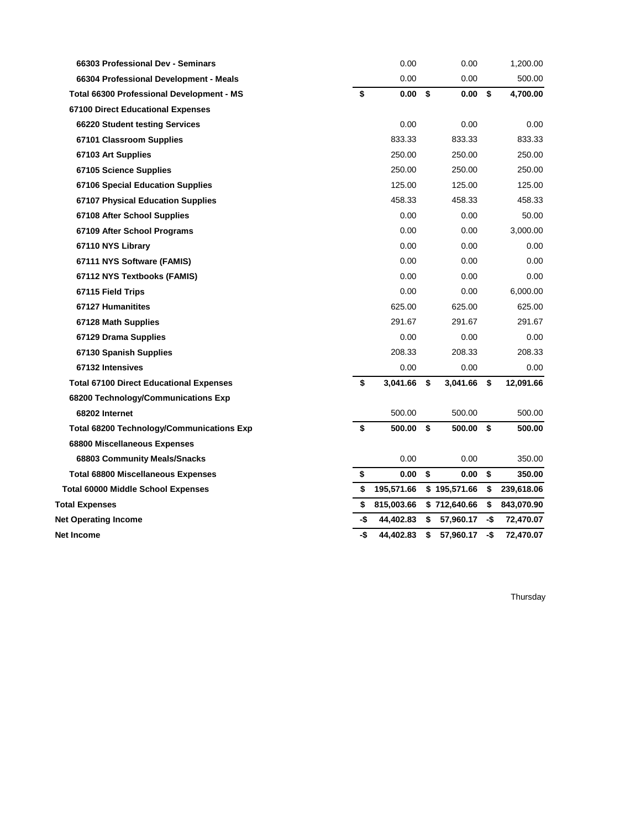| 66303 Professional Dev - Seminars                |     | 0.00              | 0.00            |     | 1,200.00   |
|--------------------------------------------------|-----|-------------------|-----------------|-----|------------|
| 66304 Professional Development - Meals           |     | 0.00              | 0.00            |     | 500.00     |
| <b>Total 66300 Professional Development - MS</b> | \$  | 0.00 <sup>5</sup> | 0.00            | \$  | 4,700.00   |
| 67100 Direct Educational Expenses                |     |                   |                 |     |            |
| 66220 Student testing Services                   |     | 0.00              | 0.00            |     | 0.00       |
| 67101 Classroom Supplies                         |     | 833.33            | 833.33          |     | 833.33     |
| 67103 Art Supplies                               |     | 250.00            | 250.00          |     | 250.00     |
| 67105 Science Supplies                           |     | 250.00            | 250.00          |     | 250.00     |
| 67106 Special Education Supplies                 |     | 125.00            | 125.00          |     | 125.00     |
| 67107 Physical Education Supplies                |     | 458.33            | 458.33          |     | 458.33     |
| 67108 After School Supplies                      |     | 0.00              | 0.00            |     | 50.00      |
| 67109 After School Programs                      |     | 0.00              | 0.00            |     | 3,000.00   |
| 67110 NYS Library                                |     | 0.00              | 0.00            |     | 0.00       |
| 67111 NYS Software (FAMIS)                       |     | 0.00              | 0.00            |     | 0.00       |
| 67112 NYS Textbooks (FAMIS)                      |     | 0.00              | 0.00            |     | 0.00       |
| 67115 Field Trips                                |     | 0.00              | 0.00            |     | 6,000.00   |
| 67127 Humanitites                                |     | 625.00            | 625.00          |     | 625.00     |
| 67128 Math Supplies                              |     | 291.67            | 291.67          |     | 291.67     |
| 67129 Drama Supplies                             |     | 0.00              | 0.00            |     | 0.00       |
| 67130 Spanish Supplies                           |     | 208.33            | 208.33          |     | 208.33     |
| 67132 Intensives                                 |     | 0.00              | 0.00            |     | 0.00       |
| <b>Total 67100 Direct Educational Expenses</b>   | \$  | 3,041.66          | \$<br>3,041.66  | \$  | 12,091.66  |
| 68200 Technology/Communications Exp              |     |                   |                 |     |            |
| 68202 Internet                                   |     | 500.00            | 500.00          |     | 500.00     |
| <b>Total 68200 Technology/Communications Exp</b> | \$  | 500.00            | \$<br>500.00    | \$  | 500.00     |
| 68800 Miscellaneous Expenses                     |     |                   |                 |     |            |
| 68803 Community Meals/Snacks                     |     | 0.00              | 0.00            |     | 350.00     |
| <b>Total 68800 Miscellaneous Expenses</b>        | \$  | 0.00              | \$<br>0.00      | \$  | 350.00     |
| <b>Total 60000 Middle School Expenses</b>        | \$  | 195,571.66        | \$195,571.66    | \$  | 239,618.06 |
| Total Expenses                                   | \$  | 815,003.66        | \$712,640.66    | \$  | 843,070.90 |
| <b>Net Operating Income</b>                      | -\$ | 44,402.83         | \$<br>57,960.17 | -\$ | 72,470.07  |
| Net Income                                       | -\$ | 44,402.83         | \$<br>57,960.17 | -\$ | 72,470.07  |

Thursday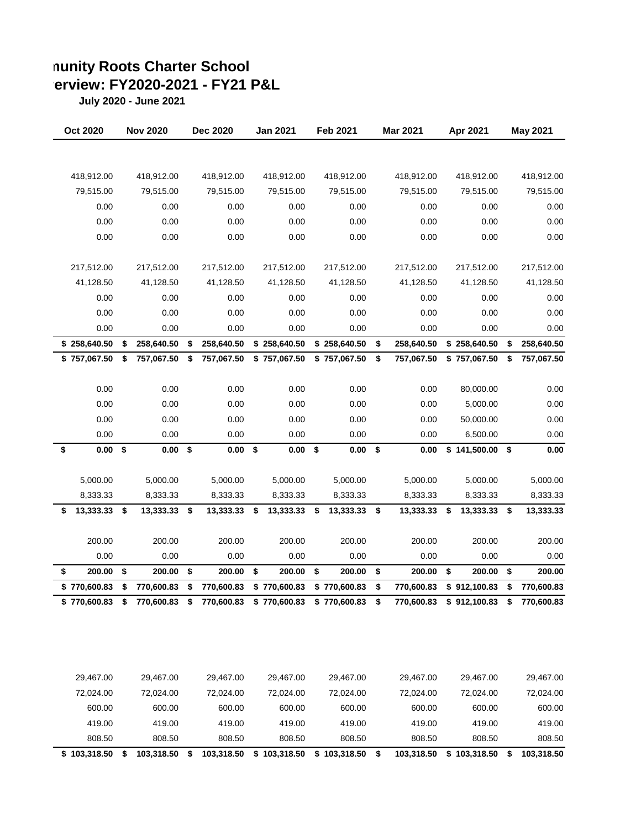## **munity Roots Charter School verview: FY2020-2021 - FY21 P&L**

**July 2020 - June 2021**

| Oct 2020        | <b>Nov 2020</b>  | Dec 2020         | <b>Jan 2021</b> | <b>Feb 2021</b> | <b>Mar 2021</b>  | Apr 2021        | <b>May 2021</b>  |
|-----------------|------------------|------------------|-----------------|-----------------|------------------|-----------------|------------------|
|                 |                  |                  |                 |                 |                  |                 |                  |
| 418,912.00      | 418,912.00       | 418,912.00       | 418,912.00      | 418,912.00      | 418,912.00       | 418,912.00      | 418,912.00       |
| 79,515.00       | 79,515.00        | 79,515.00        | 79,515.00       | 79,515.00       | 79,515.00        | 79,515.00       | 79,515.00        |
| 0.00            | 0.00             | 0.00             | 0.00            | 0.00            | 0.00             | 0.00            | 0.00             |
| 0.00            | 0.00             | 0.00             | 0.00            | 0.00            | 0.00             | 0.00            | 0.00             |
| 0.00            | 0.00             | 0.00             | 0.00            | 0.00            | 0.00             | 0.00            | 0.00             |
| 217,512.00      | 217,512.00       | 217,512.00       | 217,512.00      | 217,512.00      | 217,512.00       | 217,512.00      | 217,512.00       |
| 41,128.50       | 41,128.50        | 41,128.50        | 41,128.50       | 41,128.50       | 41,128.50        | 41,128.50       | 41,128.50        |
| 0.00            | 0.00             | 0.00             | 0.00            | 0.00            | 0.00             | 0.00            | 0.00             |
| 0.00            | 0.00             | 0.00             | 0.00            | 0.00            | 0.00             | 0.00            | 0.00             |
| 0.00            | 0.00             | 0.00             | 0.00            | 0.00            | 0.00             | 0.00            | 0.00             |
| \$258,640.50    | \$<br>258,640.50 | \$<br>258,640.50 | \$258,640.50    | \$258,640.50    | \$<br>258,640.50 | \$258,640.50    | \$<br>258,640.50 |
| \$757,067.50    | \$<br>757,067.50 | \$<br>757,067.50 | \$757,067.50    | \$757,067.50    | \$<br>757,067.50 | \$757,067.50    | \$<br>757,067.50 |
|                 |                  |                  |                 |                 |                  |                 |                  |
| 0.00            | 0.00             | 0.00             | 0.00            | 0.00            | 0.00             | 80,000.00       | 0.00             |
| 0.00            | 0.00             | 0.00             | 0.00            | 0.00            | 0.00             | 5,000.00        | 0.00             |
| 0.00            | 0.00             | 0.00             | 0.00            | 0.00            | 0.00             | 50,000.00       | 0.00             |
| 0.00            | 0.00             | 0.00             | 0.00            | 0.00            | 0.00             | 6,500.00        | 0.00             |
| \$<br>0.00      | \$<br>0.00       | \$<br>0.00       | \$<br>0.00      | \$<br>0.00      | \$<br>0.00       | \$141,500.00    | \$<br>0.00       |
| 5,000.00        | 5,000.00         | 5,000.00         | 5,000.00        | 5,000.00        | 5,000.00         | 5,000.00        | 5,000.00         |
| 8,333.33        | 8,333.33         | 8,333.33         | 8,333.33        | 8,333.33        | 8,333.33         | 8,333.33        | 8,333.33         |
| \$<br>13,333.33 | \$<br>13,333.33  | \$<br>13,333.33  | \$<br>13,333.33 | \$<br>13,333.33 | \$<br>13,333.33  | \$<br>13,333.33 | \$<br>13,333.33  |
| 200.00          | 200.00           | 200.00           | 200.00          | 200.00          | 200.00           | 200.00          | 200.00           |
| 0.00            | 0.00             | 0.00             | 0.00            | 0.00            | 0.00             | 0.00            | 0.00             |
| \$<br>200.00    | \$<br>200.00     | \$<br>200.00     | \$<br>200.00    | \$<br>200.00    | \$<br>200.00     | \$<br>200.00    | \$<br>200.00     |
| \$770,600.83    | \$<br>770,600.83 | \$<br>770,600.83 | \$770,600.83    | \$770,600.83    | \$<br>770,600.83 | \$912,100.83    | \$<br>770,600.83 |
| \$770,600.83    | \$<br>770,600.83 | \$<br>770,600.83 | \$770,600.83    | \$770,600.83    | \$<br>770,600.83 | \$912,100.83    | \$<br>770,600.83 |

| \$103.318.50 | 103.318.50 | 103.318.50 | 103.318.50<br>\$ | 103.318.50<br>S. | 103.318.50 | 103.318.50 | S | 103.318.50 |
|--------------|------------|------------|------------------|------------------|------------|------------|---|------------|
| 808.50       | 808.50     | 808.50     | 808.50           | 808.50           | 808.50     | 808.50     |   | 808.50     |
| 419.00       | 419.00     | 419.00     | 419.00           | 419.00           | 419.00     | 419.00     |   | 419.00     |
| 600.00       | 600.00     | 600.00     | 600.00           | 600.00           | 600.00     | 600.00     |   | 600.00     |
| 72.024.00    | 72.024.00  | 72.024.00  | 72.024.00        | 72.024.00        | 72.024.00  | 72.024.00  |   | 72.024.00  |
| 29,467.00    | 29.467.00  | 29.467.00  | 29.467.00        | 29.467.00        | 29.467.00  | 29.467.00  |   | 29.467.00  |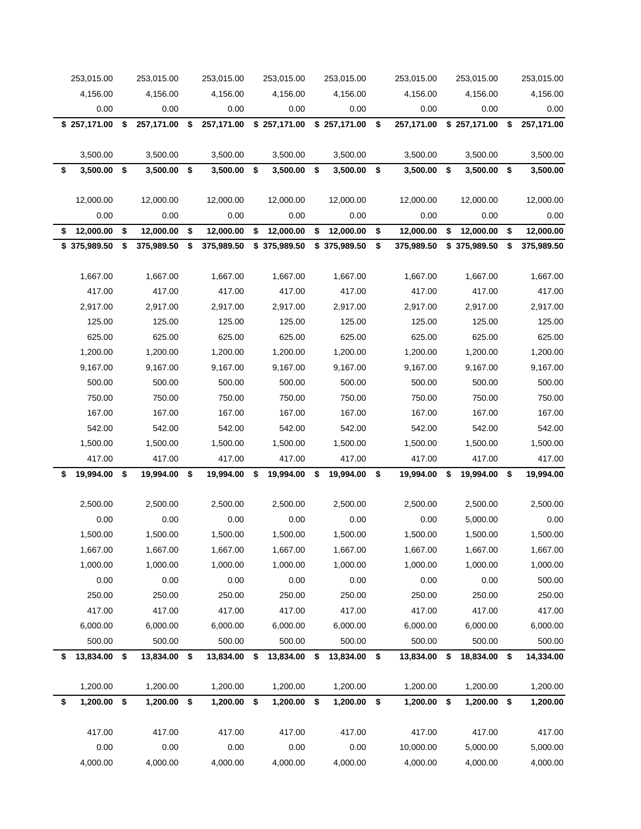| 253,015.00      |      | 253,015.00    | 253,015.00       | 253,015.00      | 253,015.00      | 253,015.00       |      | 253,015.00   | 253,015.00       |
|-----------------|------|---------------|------------------|-----------------|-----------------|------------------|------|--------------|------------------|
| 4,156.00        |      | 4,156.00      | 4,156.00         | 4,156.00        | 4,156.00        | 4,156.00         |      | 4,156.00     | 4,156.00         |
| 0.00            |      | 0.00          | 0.00             | 0.00            | 0.00            | 0.00             |      | 0.00         | 0.00             |
| \$257,171.00    | \$   | 257,171.00 \$ | 257,171.00       | \$257,171.00    | \$257,171.00    | \$<br>257,171.00 |      | \$257,171.00 | \$<br>257,171.00 |
|                 |      |               |                  |                 |                 |                  |      |              |                  |
| 3,500.00        |      | 3,500.00      | 3,500.00         | 3,500.00        | 3,500.00        | 3,500.00         |      | 3,500.00     | 3,500.00         |
| \$<br>3,500.00  | - \$ | $3,500.00$ \$ | 3,500.00         | \$<br>3,500.00  | \$<br>3,500.00  | \$<br>3,500.00   | - \$ | 3,500.00     | \$<br>3,500.00   |
|                 |      |               |                  |                 |                 |                  |      |              |                  |
| 12,000.00       |      | 12,000.00     | 12,000.00        | 12,000.00       | 12,000.00       | 12,000.00        |      | 12,000.00    | 12,000.00        |
| 0.00            |      | 0.00          | 0.00             | 0.00            | 0.00            | 0.00             |      | 0.00         | 0.00             |
| \$<br>12,000.00 | \$   | 12,000.00     | \$<br>12,000.00  | \$<br>12,000.00 | \$<br>12,000.00 | \$<br>12,000.00  | \$   | 12,000.00    | \$<br>12,000.00  |
| \$375,989.50    | \$   | 375,989.50    | \$<br>375,989.50 | \$375,989.50    | \$375,989.50    | \$<br>375,989.50 |      | \$375,989.50 | \$<br>375,989.50 |
|                 |      |               |                  |                 |                 |                  |      |              |                  |
| 1,667.00        |      | 1,667.00      | 1,667.00         | 1,667.00        | 1,667.00        | 1,667.00         |      | 1,667.00     | 1,667.00         |
| 417.00          |      | 417.00        | 417.00           | 417.00          | 417.00          | 417.00           |      | 417.00       | 417.00           |
| 2,917.00        |      | 2,917.00      | 2,917.00         | 2,917.00        | 2,917.00        | 2,917.00         |      | 2,917.00     | 2,917.00         |
| 125.00          |      | 125.00        | 125.00           | 125.00          | 125.00          | 125.00           |      | 125.00       | 125.00           |
| 625.00          |      | 625.00        | 625.00           | 625.00          | 625.00          | 625.00           |      | 625.00       | 625.00           |
| 1,200.00        |      | 1,200.00      | 1,200.00         | 1,200.00        | 1,200.00        | 1,200.00         |      | 1,200.00     | 1,200.00         |
| 9,167.00        |      | 9,167.00      | 9,167.00         | 9,167.00        | 9,167.00        | 9,167.00         |      | 9,167.00     | 9,167.00         |
| 500.00          |      | 500.00        | 500.00           | 500.00          | 500.00          | 500.00           |      | 500.00       | 500.00           |
| 750.00          |      | 750.00        | 750.00           | 750.00          | 750.00          | 750.00           |      | 750.00       | 750.00           |
| 167.00          |      | 167.00        | 167.00           | 167.00          | 167.00          | 167.00           |      | 167.00       | 167.00           |
| 542.00          |      | 542.00        | 542.00           | 542.00          | 542.00          | 542.00           |      | 542.00       | 542.00           |
| 1,500.00        |      | 1,500.00      | 1,500.00         | 1,500.00        | 1,500.00        | 1,500.00         |      | 1,500.00     | 1,500.00         |
| 417.00          |      | 417.00        | 417.00           | 417.00          | 417.00          | 417.00           |      | 417.00       | 417.00           |
| \$<br>19,994.00 | \$   | 19,994.00     | \$<br>19,994.00  | \$<br>19,994.00 | \$<br>19,994.00 | \$<br>19,994.00  | \$   | 19,994.00    | \$<br>19,994.00  |
|                 |      |               |                  |                 |                 |                  |      |              |                  |
| 2,500.00        |      | 2,500.00      | 2,500.00         | 2,500.00        | 2,500.00        | 2,500.00         |      | 2,500.00     | 2,500.00         |
| 0.00            |      | 0.00          | 0.00             | 0.00            | 0.00            | 0.00             |      | 5,000.00     | 0.00             |
| 1,500.00        |      | 1,500.00      | 1,500.00         | 1,500.00        | 1,500.00        | 1,500.00         |      | 1,500.00     | 1,500.00         |
| 1,667.00        |      | 1,667.00      | 1,667.00         | 1,667.00        | 1,667.00        | 1,667.00         |      | 1,667.00     | 1,667.00         |
| 1,000.00        |      | 1,000.00      | 1,000.00         | 1,000.00        | 1,000.00        | 1,000.00         |      | 1,000.00     | 1,000.00         |
| 0.00            |      | 0.00          | 0.00             | 0.00            | 0.00            | 0.00             |      | 0.00         | 500.00           |
| 250.00          |      | 250.00        | 250.00           | 250.00          | 250.00          | 250.00           |      | 250.00       | 250.00           |
| 417.00          |      | 417.00        | 417.00           | 417.00          | 417.00          | 417.00           |      | 417.00       | 417.00           |
| 6,000.00        |      | 6,000.00      | 6,000.00         | 6,000.00        | 6,000.00        | 6,000.00         |      | 6,000.00     | 6,000.00         |
| 500.00          |      | 500.00        | 500.00           | 500.00          | 500.00          | 500.00           |      | 500.00       | 500.00           |
| \$<br>13,834.00 | \$   | 13,834.00     | \$<br>13,834.00  | \$<br>13,834.00 | \$<br>13,834.00 | \$<br>13,834.00  | \$   | 18,834.00    | \$<br>14,334.00  |
|                 |      |               |                  |                 |                 |                  |      |              |                  |
| 1,200.00        |      | 1,200.00      | 1,200.00         | 1,200.00        | 1,200.00        | 1,200.00         |      | 1,200.00     | 1,200.00         |
| \$<br>1,200.00  | \$   | 1,200.00      | \$<br>1,200.00   | \$<br>1,200.00  | \$<br>1,200.00  | \$<br>1,200.00   | \$   | 1,200.00     | \$<br>1,200.00   |
|                 |      |               |                  |                 |                 |                  |      |              |                  |
| 417.00          |      | 417.00        | 417.00           | 417.00          | 417.00          | 417.00           |      | 417.00       | 417.00           |
| 0.00            |      | 0.00          | 0.00             | 0.00            | 0.00            | 10,000.00        |      | 5,000.00     | 5,000.00         |
| 4,000.00        |      | 4,000.00      | 4,000.00         | 4,000.00        | 4,000.00        | 4,000.00         |      | 4,000.00     | 4,000.00         |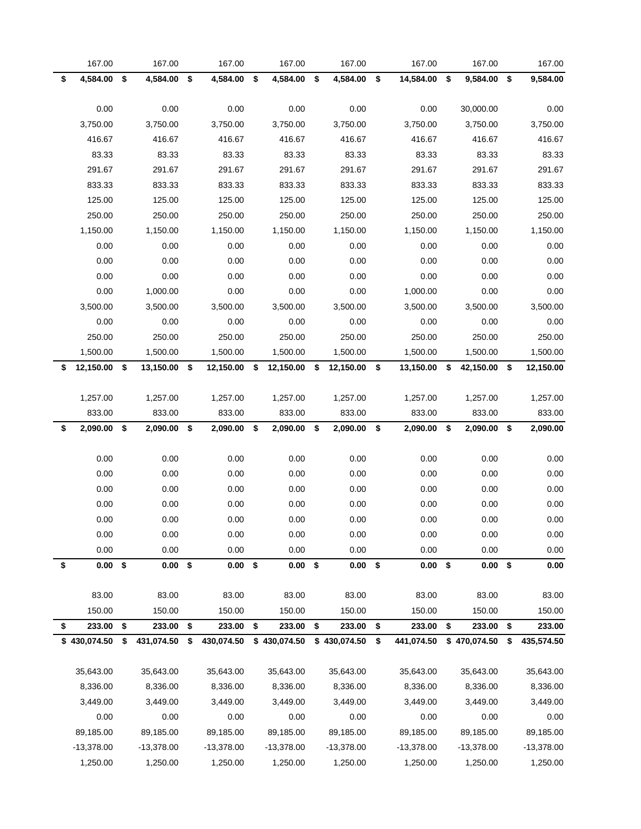| 167.00             | 167.00            | 167.00           | 167.00<br>167.00<br>167.00<br>167.00 |              |    |              | 167.00               |      |              |    |              |
|--------------------|-------------------|------------------|--------------------------------------|--------------|----|--------------|----------------------|------|--------------|----|--------------|
| \$<br>4,584.00     | \$<br>4,584.00 \$ | 4,584.00         | \$                                   | 4,584.00     | \$ | 4,584.00     | \$<br>14,584.00      | - \$ | 9,584.00 \$  |    | 9,584.00     |
|                    |                   |                  |                                      |              |    |              |                      |      |              |    |              |
| 0.00               | 0.00              | 0.00             |                                      | 0.00         |    | 0.00         | 0.00                 |      | 30,000.00    |    | 0.00         |
| 3,750.00           | 3,750.00          | 3,750.00         |                                      | 3,750.00     |    | 3,750.00     | 3,750.00             |      | 3,750.00     |    | 3,750.00     |
| 416.67             | 416.67            | 416.67           |                                      | 416.67       |    | 416.67       | 416.67               |      | 416.67       |    | 416.67       |
| 83.33              | 83.33             | 83.33            |                                      | 83.33        |    | 83.33        | 83.33                |      | 83.33        |    | 83.33        |
| 291.67             | 291.67            | 291.67           |                                      | 291.67       |    | 291.67       | 291.67               |      | 291.67       |    | 291.67       |
| 833.33             | 833.33            | 833.33           |                                      | 833.33       |    | 833.33       | 833.33               |      | 833.33       |    | 833.33       |
| 125.00             | 125.00            | 125.00           |                                      | 125.00       |    | 125.00       | 125.00               |      | 125.00       |    | 125.00       |
| 250.00             | 250.00            | 250.00           |                                      | 250.00       |    | 250.00       | 250.00               |      | 250.00       |    | 250.00       |
| 1,150.00           | 1,150.00          | 1,150.00         |                                      | 1,150.00     |    | 1,150.00     | 1,150.00             |      | 1,150.00     |    | 1,150.00     |
| 0.00               | 0.00              | 0.00             |                                      | 0.00         |    | 0.00         | 0.00                 |      | 0.00         |    | 0.00         |
| 0.00               | 0.00              | 0.00             |                                      | 0.00         |    | 0.00         | 0.00                 |      | 0.00         |    | 0.00         |
| 0.00               | 0.00              | 0.00             |                                      | 0.00         |    | 0.00         | 0.00                 |      | 0.00         |    | 0.00         |
| 0.00               | 1,000.00          | 0.00             |                                      | 0.00         |    | 0.00         | 1,000.00             |      | 0.00         |    | 0.00         |
| 3,500.00           | 3,500.00          | 3,500.00         |                                      | 3,500.00     |    | 3,500.00     | 3,500.00             |      | 3,500.00     |    | 3,500.00     |
| 0.00               | 0.00              | 0.00             |                                      | 0.00         |    | 0.00         | 0.00                 |      | 0.00         |    | 0.00         |
| 250.00             | 250.00            | 250.00           |                                      | 250.00       |    | 250.00       | 250.00               |      | 250.00       |    | 250.00       |
| 1,500.00           | 1,500.00          | 1,500.00         |                                      | 1,500.00     |    | 1,500.00     | 1,500.00             |      | 1,500.00     |    | 1,500.00     |
| \$<br>12,150.00 \$ | 13,150.00 \$      | 12,150.00        | \$                                   | 12,150.00 \$ |    | 12,150.00    | \$<br>13,150.00 \$   |      | 42,150.00 \$ |    | 12,150.00    |
|                    |                   |                  |                                      |              |    |              |                      |      |              |    |              |
| 1,257.00           | 1,257.00          | 1,257.00         |                                      | 1,257.00     |    | 1,257.00     | 1,257.00             |      | 1,257.00     |    | 1,257.00     |
| 833.00             | 833.00            | 833.00           |                                      | 833.00       |    | 833.00       | 833.00               |      | 833.00       |    | 833.00       |
| \$<br>2,090.00     | \$<br>2,090.00 \$ | 2,090.00         | \$                                   | 2,090.00     | \$ | 2,090.00     | \$<br>2,090.00       | - \$ | 2,090.00     | \$ | 2,090.00     |
|                    |                   |                  |                                      |              |    |              |                      |      |              |    |              |
| 0.00               | 0.00              | 0.00             |                                      | 0.00         |    | 0.00         | 0.00                 |      | 0.00         |    | 0.00         |
| 0.00               | 0.00              | 0.00             |                                      | 0.00         |    | 0.00         | 0.00                 |      | 0.00         |    | 0.00         |
| 0.00               | 0.00              | 0.00             |                                      | 0.00         |    | 0.00         | 0.00                 |      | 0.00         |    | 0.00         |
| 0.00               | 0.00              | 0.00             |                                      | 0.00         |    | 0.00         | 0.00                 |      | 0.00         |    | 0.00         |
| 0.00               | 0.00              | 0.00             |                                      | 0.00         |    | 0.00         | 0.00                 |      | 0.00         |    | 0.00         |
| 0.00               | 0.00              | 0.00             |                                      | 0.00         |    | 0.00         | 0.00                 |      | 0.00         |    | 0.00         |
| 0.00               | 0.00              | 0.00             |                                      | 0.00         |    | 0.00         | 0.00                 |      | 0.00         |    | 0.00         |
| \$<br>0.00         | \$<br>$0.00$ \$   | 0.00             | \$                                   | 0.00         | \$ | 0.00         | \$<br>$0.00\quad$ \$ |      | $0.00$ \$    |    | 0.00         |
|                    |                   |                  |                                      |              |    |              |                      |      |              |    |              |
| 83.00              | 83.00             | 83.00            |                                      | 83.00        |    | 83.00        | 83.00                |      | 83.00        |    | 83.00        |
| 150.00             | 150.00            | 150.00           |                                      | 150.00       |    | 150.00       | 150.00               |      | 150.00       |    | 150.00       |
| \$<br>233.00       | \$<br>233.00      | \$<br>233.00     | \$                                   | 233.00       | \$ | 233.00       | \$<br>233.00         | \$   | 233.00 \$    |    | 233.00       |
| \$430,074.50       | \$<br>431,074.50  | \$<br>430,074.50 |                                      | \$430,074.50 |    | \$430,074.50 | \$<br>441,074.50     |      | \$470,074.50 | \$ | 435,574.50   |
|                    |                   |                  |                                      |              |    |              |                      |      |              |    |              |
| 35,643.00          | 35,643.00         | 35,643.00        |                                      | 35,643.00    |    | 35,643.00    | 35,643.00            |      | 35,643.00    |    | 35,643.00    |
| 8,336.00           | 8,336.00          | 8,336.00         |                                      | 8,336.00     |    | 8,336.00     | 8,336.00             |      | 8,336.00     |    | 8,336.00     |
| 3,449.00           | 3,449.00          | 3,449.00         |                                      | 3,449.00     |    | 3,449.00     | 3,449.00             |      | 3,449.00     |    | 3,449.00     |
| 0.00               | 0.00              | 0.00             |                                      | 0.00         |    | 0.00         | 0.00                 |      | 0.00         |    | 0.00         |
| 89,185.00          | 89,185.00         | 89,185.00        |                                      | 89,185.00    |    | 89,185.00    | 89,185.00            |      | 89,185.00    |    | 89,185.00    |
| $-13,378.00$       | $-13,378.00$      | $-13,378.00$     |                                      | $-13,378.00$ |    | $-13,378.00$ | $-13,378.00$         |      | $-13,378.00$ |    | $-13,378.00$ |
| 1,250.00           | 1,250.00          | 1,250.00         |                                      | 1,250.00     |    | 1,250.00     | 1,250.00             |      | 1,250.00     |    | 1,250.00     |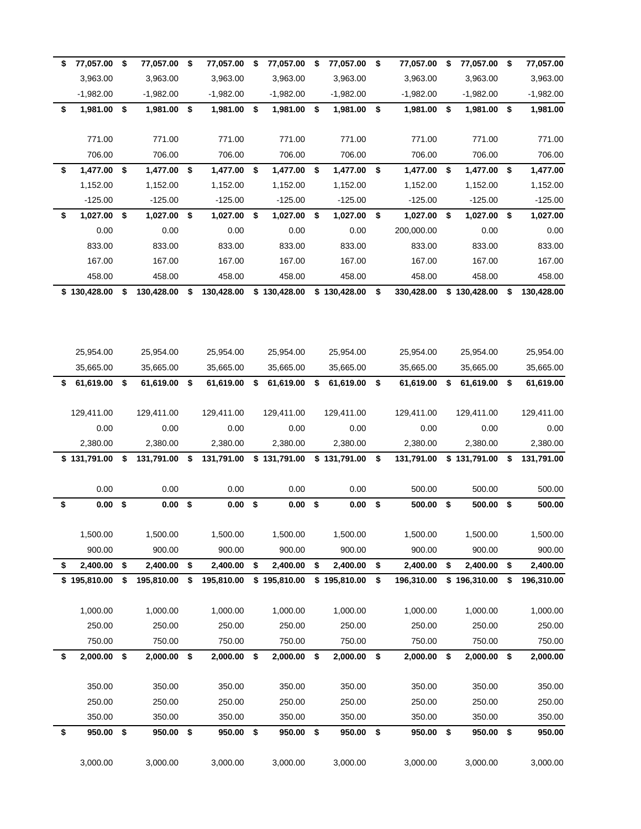| \$<br>77,057.00 | \$   | 77,057.00 \$ | 77,057.00        | \$<br>77,057.00 | \$<br>77,057.00 | \$<br>77,057.00     | - \$ | 77,057.00    | \$<br>77,057.00  |
|-----------------|------|--------------|------------------|-----------------|-----------------|---------------------|------|--------------|------------------|
| 3,963.00        |      | 3,963.00     | 3,963.00         | 3,963.00        | 3,963.00        | 3,963.00            |      | 3,963.00     | 3,963.00         |
| $-1,982.00$     |      | $-1,982.00$  | $-1,982.00$      | $-1,982.00$     | $-1,982.00$     | $-1,982.00$         |      | $-1,982.00$  | $-1,982.00$      |
| \$<br>1,981.00  | \$   | 1,981.00 \$  | 1,981.00         | \$<br>1,981.00  | \$<br>1,981.00  | \$<br>1,981.00      | -\$  | 1,981.00     | \$<br>1,981.00   |
| 771.00          |      | 771.00       | 771.00           | 771.00          | 771.00          | 771.00              |      | 771.00       | 771.00           |
| 706.00          |      | 706.00       | 706.00           | 706.00          | 706.00          | 706.00              |      | 706.00       | 706.00           |
| \$<br>1,477.00  | \$   | 1,477.00 \$  | 1,477.00         | \$<br>1,477.00  | \$<br>1,477.00  | \$<br>1,477.00      | -\$  | 1,477.00     | \$<br>1,477.00   |
| 1,152.00        |      | 1,152.00     | 1,152.00         | 1,152.00        | 1,152.00        | 1,152.00            |      | 1,152.00     | 1,152.00         |
| $-125.00$       |      | $-125.00$    | $-125.00$        | $-125.00$       | $-125.00$       | $-125.00$           |      | $-125.00$    |                  |
|                 | \$   |              | \$               |                 |                 |                     | \$   |              | $-125.00$        |
| \$<br>1,027.00  |      | 1,027.00     | 1,027.00         | \$<br>1,027.00  | \$<br>1,027.00  | \$<br>1,027.00      |      | 1,027.00     | \$<br>1,027.00   |
| 0.00            |      | 0.00         | 0.00             | 0.00            | 0.00            | 200,000.00          |      | 0.00         | 0.00             |
| 833.00          |      | 833.00       | 833.00           | 833.00          | 833.00          | 833.00              |      | 833.00       | 833.00           |
| 167.00          |      | 167.00       | 167.00           | 167.00          | 167.00          | 167.00              |      | 167.00       | 167.00           |
| 458.00          |      | 458.00       | 458.00           | 458.00          | 458.00          | 458.00              |      | 458.00       | 458.00           |
| \$130,428.00    | \$   | 130,428.00   | \$<br>130,428.00 | \$130,428.00    | \$130,428.00    | \$<br>330,428.00    |      | \$130,428.00 | \$<br>130,428.00 |
|                 |      |              |                  |                 |                 |                     |      |              |                  |
|                 |      |              |                  |                 |                 |                     |      |              |                  |
| 25,954.00       |      | 25,954.00    | 25,954.00        | 25,954.00       | 25,954.00       | 25,954.00           |      | 25,954.00    | 25,954.00        |
| 35,665.00       |      | 35,665.00    | 35,665.00        | 35,665.00       | 35,665.00       | 35,665.00           |      | 35,665.00    | 35,665.00        |
| \$<br>61,619.00 | \$   | 61,619.00    | \$<br>61,619.00  | \$<br>61,619.00 | \$<br>61,619.00 | \$<br>61,619.00     | \$   | 61,619.00    | \$<br>61,619.00  |
| 129,411.00      |      | 129,411.00   | 129,411.00       | 129,411.00      | 129,411.00      | 129,411.00          |      | 129,411.00   | 129,411.00       |
| 0.00            |      | 0.00         | 0.00             | 0.00            | 0.00            | 0.00                |      | 0.00         | 0.00             |
| 2,380.00        |      | 2,380.00     | 2,380.00         | 2,380.00        | 2,380.00        | 2,380.00            |      | 2,380.00     | 2,380.00         |
| \$131,791.00    | \$   | 131,791.00   | \$<br>131,791.00 | \$131,791.00    | \$131,791.00    | \$<br>131,791.00    |      | \$131,791.00 | \$<br>131,791.00 |
|                 |      |              |                  |                 |                 |                     |      |              |                  |
| 0.00            |      | 0.00         | 0.00             | 0.00            | 0.00            | 500.00              |      | 500.00       | 500.00           |
| \$<br>$0.00$ \$ |      | $0.00\,$ \$  | 0.00             | \$<br>0.00      | \$<br>0.00      | \$<br>500.00        | \$   | 500.00       | \$<br>500.00     |
|                 |      |              |                  |                 |                 |                     |      |              |                  |
| 1,500.00        |      | 1,500.00     | 1,500.00         | 1,500.00        | 1,500.00        | 1,500.00            |      | 1,500.00     | 1,500.00         |
| 900.00          |      | 900.00       | 900.00           | 900.00          | 900.00          | 900.00              |      | 900.00       | 900.00           |
| \$<br>2,400.00  | \$   | 2,400.00     | \$<br>2,400.00   | \$<br>2,400.00  | \$<br>2,400.00  | \$<br>2,400.00      | \$   | 2,400.00     | \$<br>2,400.00   |
| \$195,810.00    | \$   | 195,810.00   | \$<br>195,810.00 | \$195,810.00    | \$195,810.00    | \$<br>196,310.00    |      | \$196,310.00 | \$<br>196,310.00 |
|                 |      |              |                  |                 |                 |                     |      |              |                  |
| 1,000.00        |      | 1,000.00     | 1,000.00         | 1,000.00        | 1,000.00        | 1,000.00            |      | 1,000.00     | 1,000.00         |
| 250.00          |      | 250.00       | 250.00           | 250.00          | 250.00          | 250.00              |      | 250.00       | 250.00           |
| 750.00          |      | 750.00       | 750.00           | 750.00          | 750.00          | 750.00              |      | 750.00       | 750.00           |
| \$<br>2,000.00  | \$   | 2,000.00 \$  | 2,000.00         | \$<br>2,000.00  | \$<br>2,000.00  | \$<br>$2,000.00$ \$ |      | 2,000.00     | \$<br>2,000.00   |
|                 |      |              |                  |                 |                 |                     |      |              |                  |
| 350.00          |      | 350.00       | 350.00           | 350.00          | 350.00          | 350.00              |      | 350.00       | 350.00           |
| 250.00          |      | 250.00       | 250.00           | 250.00          | 250.00          | 250.00              |      | 250.00       | 250.00           |
| 350.00          |      | 350.00       | 350.00           | 350.00          | 350.00          | 350.00              |      | 350.00       | 350.00           |
| \$<br>950.00    | - \$ | 950.00 \$    | 950.00           | \$<br>950.00    | \$<br>950.00    | \$<br>950.00 \$     |      | 950.00 \$    | 950.00           |
| 3,000.00        |      | 3,000.00     | 3,000.00         | 3,000.00        | 3,000.00        | 3,000.00            |      | 3,000.00     | 3,000.00         |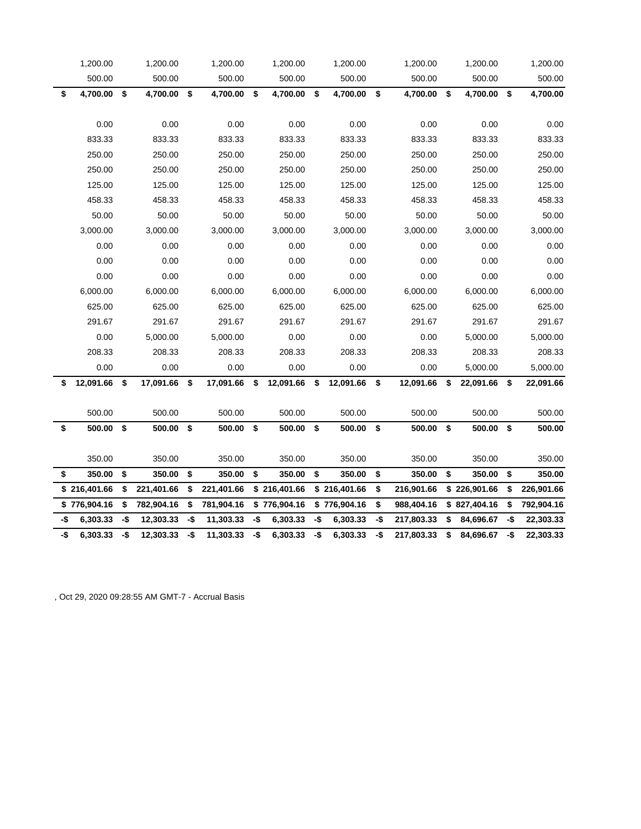|     | 1,200.00<br>500.00 |     | 1,200.00<br>500.00 |     | 1,200.00<br>500.00 |     | 1,200.00<br>500.00 |     | 1,200.00<br>500.00 |     | 1,200.00<br>500.00 | 1,200.00<br>500.00 |     | 1,200.00<br>500.00 |
|-----|--------------------|-----|--------------------|-----|--------------------|-----|--------------------|-----|--------------------|-----|--------------------|--------------------|-----|--------------------|
| \$  | 4,700.00 \$        |     | 4,700.00 \$        |     | 4,700.00           | \$  | 4,700.00           | \$  | 4,700.00           | \$  | 4,700.00           | \$<br>4,700.00     | \$  | 4,700.00           |
|     |                    |     |                    |     |                    |     |                    |     |                    |     |                    |                    |     |                    |
|     | 0.00               |     | 0.00               |     | 0.00               |     | 0.00               |     | 0.00               |     | 0.00               | 0.00               |     | 0.00               |
|     | 833.33             |     | 833.33             |     | 833.33             |     | 833.33             |     | 833.33             |     | 833.33             | 833.33             |     | 833.33             |
|     | 250.00             |     | 250.00             |     | 250.00             |     | 250.00             |     | 250.00             |     | 250.00             | 250.00             |     | 250.00             |
|     | 250.00             |     | 250.00             |     | 250.00             |     | 250.00             |     | 250.00             |     | 250.00             | 250.00             |     | 250.00             |
|     | 125.00             |     | 125.00             |     | 125.00             |     | 125.00             |     | 125.00             |     | 125.00             | 125.00             |     | 125.00             |
|     | 458.33             |     | 458.33             |     | 458.33             |     | 458.33             |     | 458.33             |     | 458.33             | 458.33             |     | 458.33             |
|     | 50.00              |     | 50.00              |     | 50.00              |     | 50.00              |     | 50.00              |     | 50.00              | 50.00              |     | 50.00              |
|     | 3,000.00           |     | 3,000.00           |     | 3,000.00           |     | 3,000.00           |     | 3,000.00           |     | 3,000.00           | 3,000.00           |     | 3,000.00           |
|     | 0.00               |     | 0.00               |     | 0.00               |     | 0.00               |     | 0.00               |     | 0.00               | 0.00               |     | 0.00               |
|     | 0.00               |     | 0.00               |     | 0.00               |     | 0.00               |     | 0.00               |     | 0.00               | 0.00               |     | 0.00               |
|     | 0.00               |     | 0.00               |     | 0.00               |     | 0.00               |     | 0.00               |     | 0.00               | 0.00               |     | 0.00               |
|     | 6,000.00           |     | 6,000.00           |     | 6,000.00           |     | 6,000.00           |     | 6,000.00           |     | 6,000.00           | 6,000.00           |     | 6,000.00           |
|     | 625.00             |     | 625.00             |     | 625.00             |     | 625.00             |     | 625.00             |     | 625.00             | 625.00             |     | 625.00             |
|     | 291.67             |     | 291.67             |     | 291.67             |     | 291.67             |     | 291.67             |     | 291.67             | 291.67             |     | 291.67             |
|     | 0.00               |     | 5,000.00           |     | 5,000.00           |     | 0.00               |     | 0.00               |     | 0.00               | 5,000.00           |     | 5,000.00           |
|     | 208.33             |     | 208.33             |     | 208.33             |     | 208.33             |     | 208.33             |     | 208.33             | 208.33             |     | 208.33             |
|     | 0.00               |     | 0.00               |     | 0.00               |     | 0.00               |     | 0.00               |     | 0.00               | 5,000.00           |     | 5,000.00           |
| \$  | 12,091.66          | \$  | 17,091.66          | \$  | 17,091.66          | \$  | 12,091.66          | \$  | 12,091.66          | \$  | 12,091.66          | \$<br>22,091.66    | \$  | 22,091.66          |
|     |                    |     |                    |     |                    |     |                    |     |                    |     |                    |                    |     |                    |
|     | 500.00             |     | 500.00             |     | 500.00             |     | 500.00             |     | 500.00             |     | 500.00             | 500.00             |     | 500.00             |
| \$  | 500.00             | \$  | 500.00             | \$  | 500.00             | \$  | 500.00             | \$  | 500.00             | \$  | 500.00             | \$<br>500.00 \$    |     | 500.00             |
|     |                    |     |                    |     |                    |     |                    |     |                    |     |                    |                    |     |                    |
|     | 350.00             |     | 350.00             |     | 350.00             |     | 350.00             |     | 350.00             |     | 350.00             | 350.00             |     | 350.00             |
| \$  | 350.00             | \$  | 350.00             | \$  | 350.00             | \$  | 350.00             | \$  | 350.00             | \$  | 350.00             | \$<br>350.00       | \$  | 350.00             |
|     | \$216,401.66       | \$  | 221,401.66         | \$  | 221,401.66         |     | \$216,401.66       |     | \$216,401.66       | \$  | 216,901.66         | \$226,901.66       | \$  | 226,901.66         |
|     | \$776,904.16       | \$  | 782,904.16         | \$  | 781,904.16         |     | \$776,904.16       |     | \$776,904.16       | \$  | 988,404.16         | \$827,404.16       | \$  | 792,904.16         |
| -\$ | 6,303.33           | -\$ | 12,303.33          | -\$ | 11,303.33          | -\$ | 6,303.33           | -\$ | 6,303.33           | -\$ | 217,803.33         | \$<br>84,696.67    | -\$ | 22,303.33          |
| -\$ | 6,303.33           | -\$ | 12,303.33          | -\$ | 11,303.33          | -\$ | 6,303.33           | -\$ | 6,303.33           | -\$ | 217,803.33         | \$<br>84,696.67    | -\$ | 22,303.33          |

, Oct 29, 2020 09:28:55 AM GMT-7 - Accrual Basis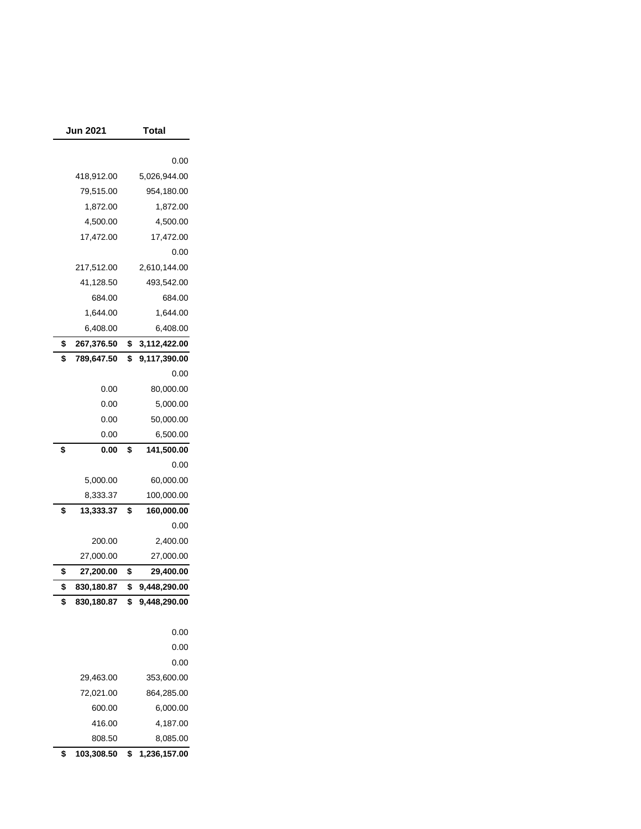|    | <b>Jun 2021</b> | Total              |
|----|-----------------|--------------------|
|    |                 |                    |
|    |                 | 0.00               |
|    | 418,912.00      | 5,026,944.00       |
|    | 79,515.00       | 954,180.00         |
|    | 1,872.00        | 1,872.00           |
|    | 4,500.00        | 4,500.00           |
|    | 17,472.00       | 17,472.00          |
|    |                 | 0.00               |
|    | 217,512.00      | 2,610,144.00       |
|    | 41,128.50       | 493,542.00         |
|    | 684.00          | 684.00             |
|    | 1,644.00        | 1,644.00           |
|    | 6,408.00        | 6,408.00           |
| \$ | 267,376.50      | \$<br>3,112,422.00 |
| \$ | 789,647.50      | \$<br>9,117,390.00 |
|    |                 | 0.00               |
|    | 0.00            | 80,000.00          |
|    | 0.00            | 5,000.00           |
|    | 0.00            | 50,000.00          |
|    | 0.00            | 6,500.00           |
| \$ | 0.00            | \$<br>141,500.00   |
|    |                 | 0.00               |
|    | 5,000.00        | 60,000.00          |
|    | 8,333.37        | 100,000.00         |
| \$ | 13,333.37       | \$<br>160,000.00   |
|    |                 | 0.00               |
|    | 200.00          | 2,400.00           |
|    | 27,000.00       | 27,000.00          |
| \$ | 27,200.00       | \$<br>29,400.00    |
| \$ | 830,180.87      | \$<br>9,448,290.00 |
| \$ | 830,180.87      | \$<br>9,448,290.00 |
|    |                 |                    |
|    |                 | 0.00               |
|    |                 | 0.00               |
|    |                 | 0.00               |
|    | 29,463.00       | 353,600.00         |
|    | 72,021.00       | 864,285.00         |
|    | 600.00          | 6,000.00           |
|    | 416.00          | 4,187.00           |
|    | 808.50          | 8,085.00           |
| \$ | 103,308.50      | \$<br>1,236,157.00 |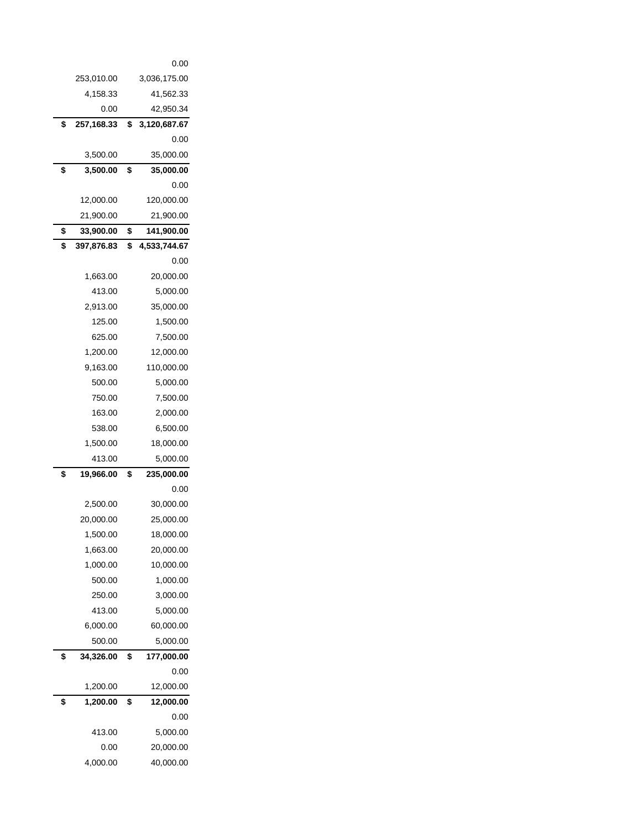|                  | 0.00               |
|------------------|--------------------|
| 253,010.00       | 3,036,175.00       |
| 4,158.33         | 41,562.33          |
| 0.00             | 42,950.34          |
| \$<br>257,168.33 | \$<br>3,120,687.67 |
|                  | 0.00               |
| 3,500.00         | 35,000.00          |
| \$<br>3,500.00   | \$<br>35,000.00    |
|                  | 0.00               |
| 12,000.00        | 120,000.00         |
| 21,900.00        | 21,900.00          |
| \$<br>33,900.00  | \$<br>141,900.00   |
| \$<br>397,876.83 | \$<br>4,533,744.67 |
|                  | 0.00               |
| 1,663.00         | 20,000.00          |
| 413.00           | 5,000.00           |
| 2,913.00         | 35,000.00          |
| 125.00           | 1,500.00           |
| 625.00           | 7,500.00           |
| 1,200.00         | 12,000.00          |
| 9,163.00         | 110,000.00         |
| 500.00           | 5,000.00           |
| 750.00           | 7,500.00           |
| 163.00           | 2,000.00           |
| 538.00           | 6,500.00           |
| 1,500.00         | 18,000.00          |
| 413.00           | 5,000.00           |
| \$<br>19,966.00  | \$<br>235,000.00   |
|                  | 0.00               |
| 2,500.00         | 30,000.00          |
| 20,000.00        | 25,000.00          |
| 1,500.00         | 18,000.00          |
| 1,663.00         | 20,000.00          |
| 1,000.00         | 10,000.00          |
| 500.00           | 1,000.00           |
| 250.00           | 3,000.00           |
| 413.00           | 5,000.00           |
| 6,000.00         | 60,000.00          |
| 500.00           | 5,000.00           |
| \$<br>34,326.00  | \$<br>177,000.00   |
|                  | 0.00               |
| 1,200.00         | 12,000.00          |
| \$<br>1,200.00   | \$<br>12,000.00    |
|                  | 0.00               |
| 413.00           | 5,000.00           |
| 0.00             | 20,000.00          |
| 4,000.00         | 40,000.00          |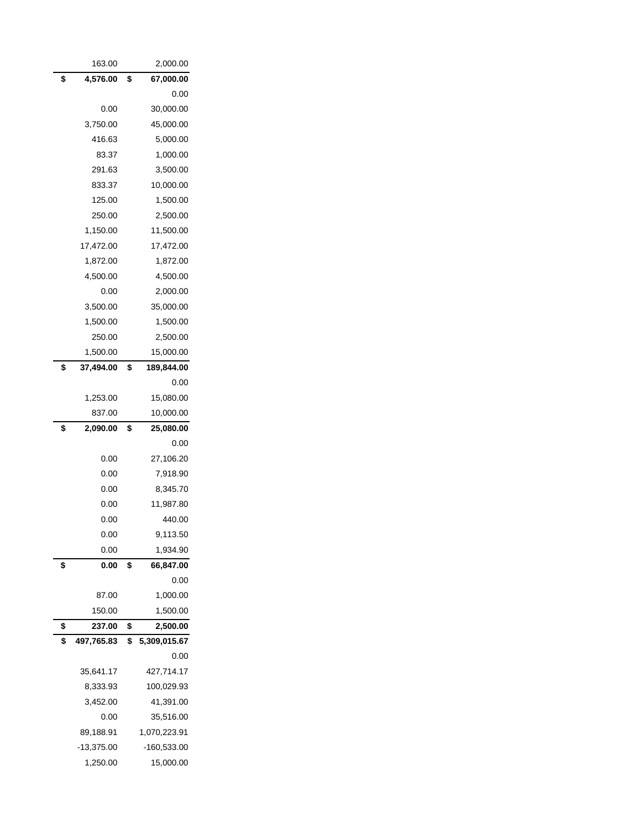| 163.00           | 2,000.00           |
|------------------|--------------------|
| \$<br>4,576.00   | \$<br>67,000.00    |
|                  | 0.00               |
| 0.00             | 30,000.00          |
| 3,750.00         | 45,000.00          |
| 416.63           | 5,000.00           |
| 83.37            | 1,000.00           |
| 291.63           | 3,500.00           |
| 833.37           | 10,000.00          |
| 125.00           | 1,500.00           |
| 250.00           | 2,500.00           |
| 1,150.00         | 11,500.00          |
| 17,472.00        | 17,472.00          |
| 1,872.00         | 1,872.00           |
| 4,500.00         | 4,500.00           |
| 0.00             | 2,000.00           |
| 3,500.00         | 35,000.00          |
| 1,500.00         | 1,500.00           |
| 250.00           | 2,500.00           |
| 1,500.00         | 15,000.00          |
| \$<br>37,494.00  | \$<br>189,844.00   |
|                  | 0.00               |
| 1,253.00         | 15,080.00          |
| 837.00           | 10,000.00          |
| \$<br>2,090.00   | \$<br>25,080.00    |
| 0.00             | 0.00<br>27,106.20  |
| 0.00             | 7,918.90           |
| 0.00             | 8,345.70           |
| 0.00             | 11,987.80          |
| 0.00             | 440.00             |
| 0.00             | 9,113.50           |
| 0.00             | 1,934.90           |
| \$<br>0.00       | \$<br>66,847.00    |
|                  | 0.00               |
| 87.00            | 1,000.00           |
| 150.00           | 1,500.00           |
| \$<br>237.00     | \$<br>2,500.00     |
| \$<br>497,765.83 | \$<br>5,309,015.67 |
|                  | 0.00               |
|                  |                    |
| 35,641.17        | 427,714.17         |
| 8,333.93         | 100,029.93         |
| 3,452.00         | 41,391.00          |
| 0.00             | 35,516.00          |
| 89,188.91        | 1,070,223.91       |
| $-13,375.00$     | -160,533.00        |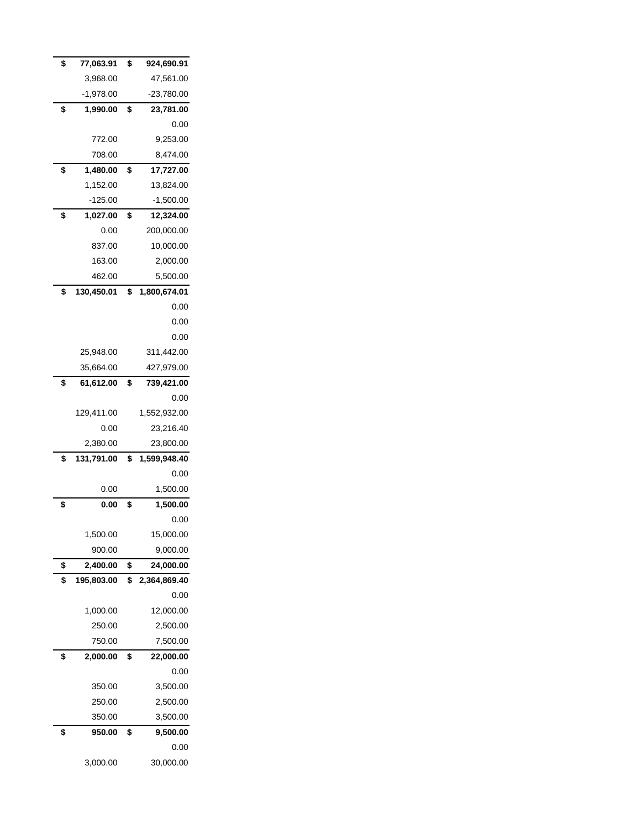| 77,063.91        | \$<br>924,690.91   |
|------------------|--------------------|
| 3,968.00         | 47,561.00          |
| $-1,978.00$      | $-23,780.00$       |
| \$<br>1,990.00   | \$<br>23,781.00    |
|                  | 0.00               |
| 772.00           | 9,253.00           |
| 708.00           | 8,474.00           |
| \$<br>1,480.00   | \$<br>17,727.00    |
| 1,152.00         | 13,824.00          |
| $-125.00$        | $-1,500.00$        |
| \$<br>1,027.00   | \$<br>12,324.00    |
| 0.00             | 200,000.00         |
| 837.00           | 10,000.00          |
| 163.00           | 2,000.00           |
| 462.00           | 5,500.00           |
| \$<br>130,450.01 | \$<br>1,800,674.01 |
|                  | 0.00               |
|                  | 0.00               |
|                  | 0.00               |
| 25,948.00        | 311,442.00         |
| 35,664.00        | 427,979.00         |
| \$<br>61,612.00  | \$<br>739,421.00   |
|                  | 0.00               |
| 129,411.00       | 1,552,932.00       |
| 0.00             | 23,216.40          |
| 2,380.00         | 23,800.00          |
| \$<br>131,791.00 | \$<br>1,599,948.40 |
|                  |                    |
|                  | 0.00               |
| 0.00             | 1,500.00           |
| \$<br>0.00       | \$<br>1,500.00     |
|                  | 0.00               |
| 1,500.00         | 15,000.00          |
| 900.00           | 9,000.00           |
| \$<br>2,400.00   | \$<br>24,000.00    |
| \$<br>195,803.00 | \$<br>2,364,869.40 |
|                  | 0.00               |
| 1,000.00         | 12,000.00          |
| 250.00           | 2,500.00           |
| 750.00           | 7,500.00           |
| \$<br>2,000.00   | \$<br>22,000.00    |
|                  | 0.00               |
| 350.00           | 3,500.00           |
| 250.00           | 2,500.00           |
| 350.00           | 3,500.00           |
| \$<br>950.00     | \$<br>9,500.00     |
|                  | 0.00               |
|                  |                    |